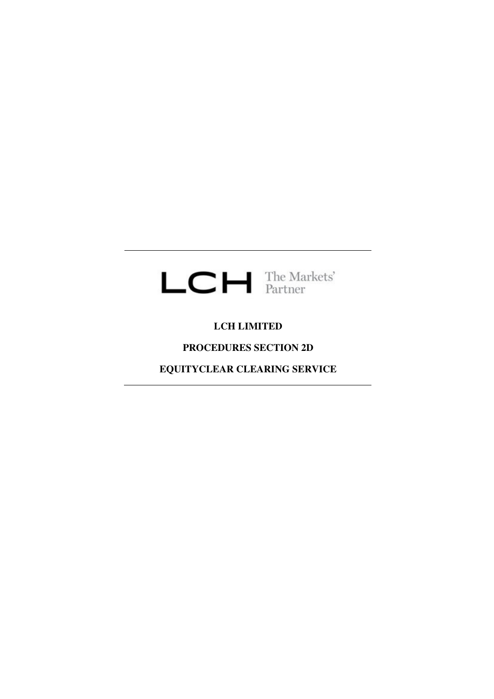# $LCH$  The Markets'

### **LCH LIMITED**

## **PROCEDURES SECTION 2D**

**EQUITYCLEAR CLEARING SERVICE**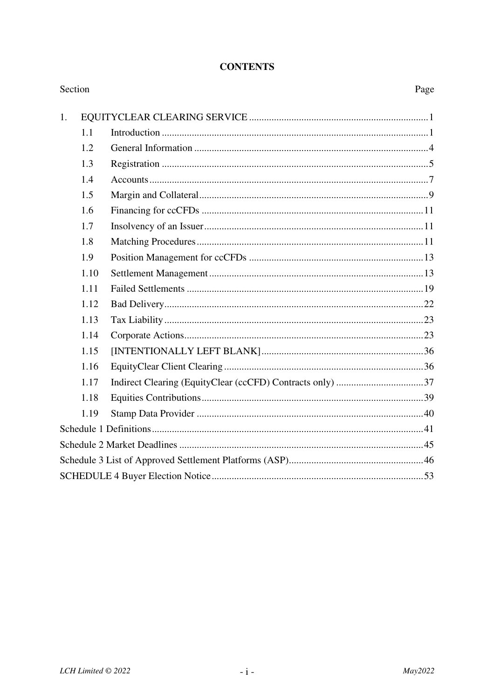#### **CONTENTS**

| Section |      | Page |
|---------|------|------|
| 1.      |      |      |
|         | 1.1  |      |
|         | 1.2  |      |
|         | 1.3  |      |
|         | 1.4  |      |
|         | 1.5  |      |
|         | 1.6  |      |
|         | 1.7  |      |
|         | 1.8  |      |
|         | 1.9  |      |
|         | 1.10 |      |
|         | 1.11 |      |
|         | 1.12 |      |
|         | 1.13 |      |
|         | 1.14 |      |
|         | 1.15 |      |
|         | 1.16 |      |
|         | 1.17 |      |
|         | 1.18 |      |
|         | 1.19 |      |
|         |      |      |
|         |      |      |
|         |      |      |
|         |      |      |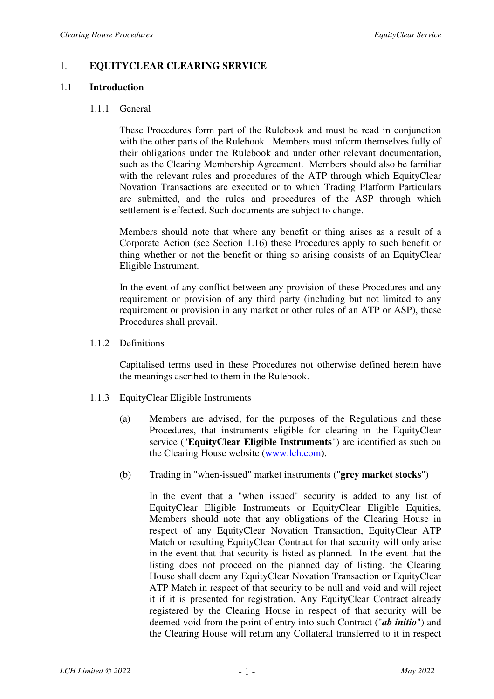#### 1. **EQUITYCLEAR CLEARING SERVICE**

#### 1.1 **Introduction**

#### 1.1.1 General

These Procedures form part of the Rulebook and must be read in conjunction with the other parts of the Rulebook. Members must inform themselves fully of their obligations under the Rulebook and under other relevant documentation, such as the Clearing Membership Agreement. Members should also be familiar with the relevant rules and procedures of the ATP through which EquityClear Novation Transactions are executed or to which Trading Platform Particulars are submitted, and the rules and procedures of the ASP through which settlement is effected. Such documents are subject to change.

Members should note that where any benefit or thing arises as a result of a Corporate Action (see Section 1.16) these Procedures apply to such benefit or thing whether or not the benefit or thing so arising consists of an EquityClear Eligible Instrument.

In the event of any conflict between any provision of these Procedures and any requirement or provision of any third party (including but not limited to any requirement or provision in any market or other rules of an ATP or ASP), these Procedures shall prevail.

#### 1.1.2 Definitions

Capitalised terms used in these Procedures not otherwise defined herein have the meanings ascribed to them in the Rulebook.

- 1.1.3 EquityClear Eligible Instruments
	- (a) Members are advised, for the purposes of the Regulations and these Procedures, that instruments eligible for clearing in the EquityClear service ("**EquityClear Eligible Instruments**") are identified as such on the Clearing House website (www.lch.com).
	- (b) Trading in "when-issued" market instruments ("**grey market stocks**")

In the event that a "when issued" security is added to any list of EquityClear Eligible Instruments or EquityClear Eligible Equities, Members should note that any obligations of the Clearing House in respect of any EquityClear Novation Transaction, EquityClear ATP Match or resulting EquityClear Contract for that security will only arise in the event that that security is listed as planned. In the event that the listing does not proceed on the planned day of listing, the Clearing House shall deem any EquityClear Novation Transaction or EquityClear ATP Match in respect of that security to be null and void and will reject it if it is presented for registration. Any EquityClear Contract already registered by the Clearing House in respect of that security will be deemed void from the point of entry into such Contract ("*ab initio*") and the Clearing House will return any Collateral transferred to it in respect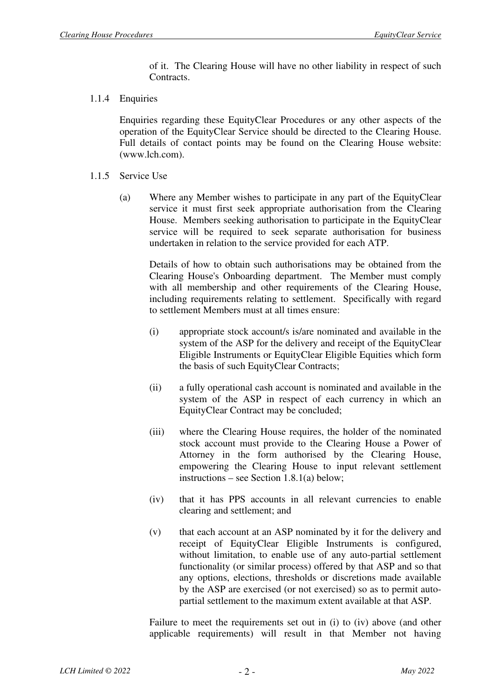of it. The Clearing House will have no other liability in respect of such Contracts.

1.1.4 Enquiries

Enquiries regarding these EquityClear Procedures or any other aspects of the operation of the EquityClear Service should be directed to the Clearing House. Full details of contact points may be found on the Clearing House website: (www.lch.com).

- 1.1.5 Service Use
	- (a) Where any Member wishes to participate in any part of the EquityClear service it must first seek appropriate authorisation from the Clearing House. Members seeking authorisation to participate in the EquityClear service will be required to seek separate authorisation for business undertaken in relation to the service provided for each ATP.

Details of how to obtain such authorisations may be obtained from the Clearing House's Onboarding department. The Member must comply with all membership and other requirements of the Clearing House, including requirements relating to settlement. Specifically with regard to settlement Members must at all times ensure:

- (i) appropriate stock account/s is/are nominated and available in the system of the ASP for the delivery and receipt of the EquityClear Eligible Instruments or EquityClear Eligible Equities which form the basis of such EquityClear Contracts;
- (ii) a fully operational cash account is nominated and available in the system of the ASP in respect of each currency in which an EquityClear Contract may be concluded;
- (iii) where the Clearing House requires, the holder of the nominated stock account must provide to the Clearing House a Power of Attorney in the form authorised by the Clearing House, empowering the Clearing House to input relevant settlement instructions – see Section 1.8.1(a) below;
- (iv) that it has PPS accounts in all relevant currencies to enable clearing and settlement; and
- (v) that each account at an ASP nominated by it for the delivery and receipt of EquityClear Eligible Instruments is configured, without limitation, to enable use of any auto-partial settlement functionality (or similar process) offered by that ASP and so that any options, elections, thresholds or discretions made available by the ASP are exercised (or not exercised) so as to permit autopartial settlement to the maximum extent available at that ASP.

Failure to meet the requirements set out in (i) to (iv) above (and other applicable requirements) will result in that Member not having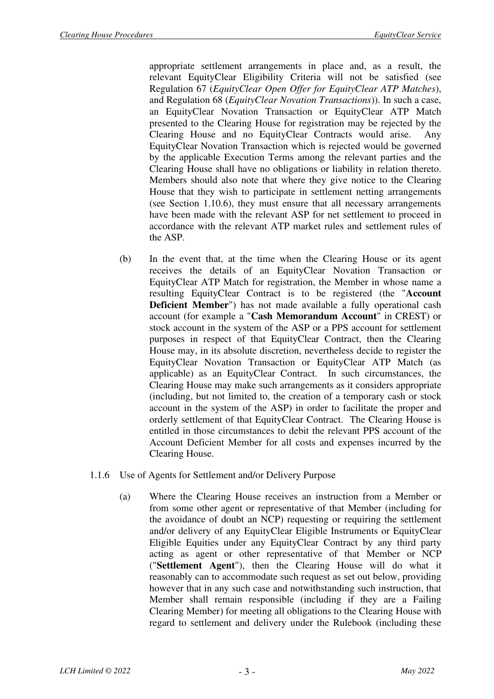appropriate settlement arrangements in place and, as a result, the relevant EquityClear Eligibility Criteria will not be satisfied (see Regulation 67 (*EquityClear Open Offer for EquityClear ATP Matches*), and Regulation 68 (*EquityClear Novation Transactions*)). In such a case, an EquityClear Novation Transaction or EquityClear ATP Match presented to the Clearing House for registration may be rejected by the Clearing House and no EquityClear Contracts would arise. Any EquityClear Novation Transaction which is rejected would be governed by the applicable Execution Terms among the relevant parties and the Clearing House shall have no obligations or liability in relation thereto. Members should also note that where they give notice to the Clearing House that they wish to participate in settlement netting arrangements (see Section 1.10.6), they must ensure that all necessary arrangements have been made with the relevant ASP for net settlement to proceed in accordance with the relevant ATP market rules and settlement rules of the ASP.

- (b) In the event that, at the time when the Clearing House or its agent receives the details of an EquityClear Novation Transaction or EquityClear ATP Match for registration, the Member in whose name a resulting EquityClear Contract is to be registered (the "**Account Deficient Member**") has not made available a fully operational cash account (for example a "**Cash Memorandum Account**" in CREST) or stock account in the system of the ASP or a PPS account for settlement purposes in respect of that EquityClear Contract, then the Clearing House may, in its absolute discretion, nevertheless decide to register the EquityClear Novation Transaction or EquityClear ATP Match (as applicable) as an EquityClear Contract. In such circumstances, the Clearing House may make such arrangements as it considers appropriate (including, but not limited to, the creation of a temporary cash or stock account in the system of the ASP) in order to facilitate the proper and orderly settlement of that EquityClear Contract. The Clearing House is entitled in those circumstances to debit the relevant PPS account of the Account Deficient Member for all costs and expenses incurred by the Clearing House.
- 1.1.6 Use of Agents for Settlement and/or Delivery Purpose
	- (a) Where the Clearing House receives an instruction from a Member or from some other agent or representative of that Member (including for the avoidance of doubt an NCP) requesting or requiring the settlement and/or delivery of any EquityClear Eligible Instruments or EquityClear Eligible Equities under any EquityClear Contract by any third party acting as agent or other representative of that Member or NCP ("**Settlement Agent**"), then the Clearing House will do what it reasonably can to accommodate such request as set out below, providing however that in any such case and notwithstanding such instruction, that Member shall remain responsible (including if they are a Failing Clearing Member) for meeting all obligations to the Clearing House with regard to settlement and delivery under the Rulebook (including these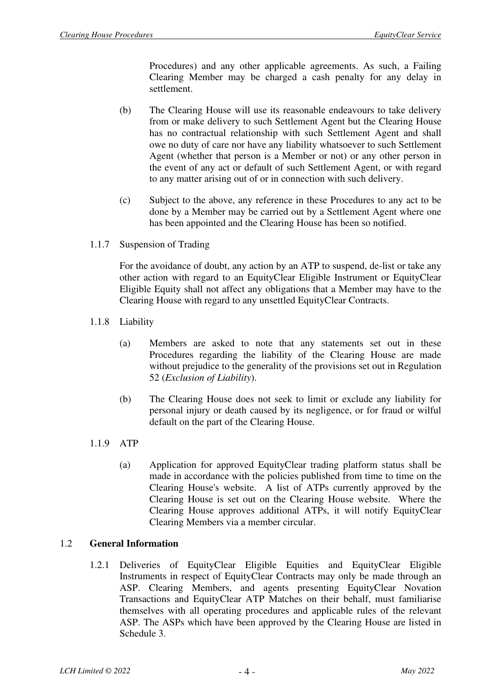Procedures) and any other applicable agreements. As such, a Failing Clearing Member may be charged a cash penalty for any delay in settlement.

- (b) The Clearing House will use its reasonable endeavours to take delivery from or make delivery to such Settlement Agent but the Clearing House has no contractual relationship with such Settlement Agent and shall owe no duty of care nor have any liability whatsoever to such Settlement Agent (whether that person is a Member or not) or any other person in the event of any act or default of such Settlement Agent, or with regard to any matter arising out of or in connection with such delivery.
- (c) Subject to the above, any reference in these Procedures to any act to be done by a Member may be carried out by a Settlement Agent where one has been appointed and the Clearing House has been so notified.
- 1.1.7 Suspension of Trading

For the avoidance of doubt, any action by an ATP to suspend, de-list or take any other action with regard to an EquityClear Eligible Instrument or EquityClear Eligible Equity shall not affect any obligations that a Member may have to the Clearing House with regard to any unsettled EquityClear Contracts.

- 1.1.8 Liability
	- (a) Members are asked to note that any statements set out in these Procedures regarding the liability of the Clearing House are made without prejudice to the generality of the provisions set out in Regulation 52 (*Exclusion of Liability*).
	- (b) The Clearing House does not seek to limit or exclude any liability for personal injury or death caused by its negligence, or for fraud or wilful default on the part of the Clearing House.
- 1.1.9 ATP
	- (a) Application for approved EquityClear trading platform status shall be made in accordance with the policies published from time to time on the Clearing House's website. A list of ATPs currently approved by the Clearing House is set out on the Clearing House website. Where the Clearing House approves additional ATPs, it will notify EquityClear Clearing Members via a member circular.

#### 1.2 **General Information**

1.2.1 Deliveries of EquityClear Eligible Equities and EquityClear Eligible Instruments in respect of EquityClear Contracts may only be made through an ASP. Clearing Members, and agents presenting EquityClear Novation Transactions and EquityClear ATP Matches on their behalf, must familiarise themselves with all operating procedures and applicable rules of the relevant ASP. The ASPs which have been approved by the Clearing House are listed in Schedule 3.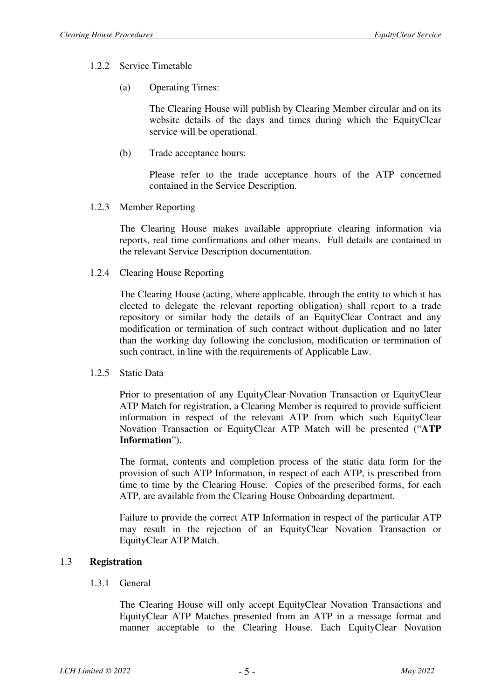#### 1.2.2 Service Timetable

(a) Operating Times:

The Clearing House will publish by Clearing Member circular and on its website details of the days and times during which the EquityClear service will be operational.

(b) Trade acceptance hours:

Please refer to the trade acceptance hours of the ATP concerned contained in the Service Description.

1.2.3 Member Reporting

The Clearing House makes available appropriate clearing information via reports, real time confirmations and other means. Full details are contained in the relevant Service Description documentation.

1.2.4 Clearing House Reporting

The Clearing House (acting, where applicable, through the entity to which it has elected to delegate the relevant reporting obligation) shall report to a trade repository or similar body the details of an EquityClear Contract and any modification or termination of such contract without duplication and no later than the working day following the conclusion, modification or termination of such contract, in line with the requirements of Applicable Law.

1.2.5 Static Data

Prior to presentation of any EquityClear Novation Transaction or EquityClear ATP Match for registration, a Clearing Member is required to provide sufficient information in respect of the relevant ATP from which such EquityClear Novation Transaction or EquityClear ATP Match will be presented ("**ATP Information**").

The format, contents and completion process of the static data form for the provision of such ATP Information, in respect of each ATP, is prescribed from time to time by the Clearing House. Copies of the prescribed forms, for each ATP, are available from the Clearing House Onboarding department.

Failure to provide the correct ATP Information in respect of the particular ATP may result in the rejection of an EquityClear Novation Transaction or EquityClear ATP Match.

#### 1.3 **Registration**

1.3.1 General

The Clearing House will only accept EquityClear Novation Transactions and EquityClear ATP Matches presented from an ATP in a message format and manner acceptable to the Clearing House. Each EquityClear Novation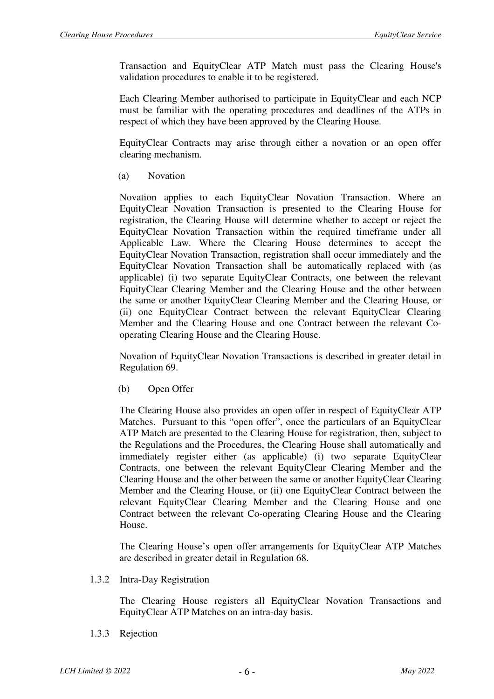Transaction and EquityClear ATP Match must pass the Clearing House's validation procedures to enable it to be registered.

Each Clearing Member authorised to participate in EquityClear and each NCP must be familiar with the operating procedures and deadlines of the ATPs in respect of which they have been approved by the Clearing House.

EquityClear Contracts may arise through either a novation or an open offer clearing mechanism.

(a) Novation

Novation applies to each EquityClear Novation Transaction. Where an EquityClear Novation Transaction is presented to the Clearing House for registration, the Clearing House will determine whether to accept or reject the EquityClear Novation Transaction within the required timeframe under all Applicable Law. Where the Clearing House determines to accept the EquityClear Novation Transaction, registration shall occur immediately and the EquityClear Novation Transaction shall be automatically replaced with (as applicable) (i) two separate EquityClear Contracts, one between the relevant EquityClear Clearing Member and the Clearing House and the other between the same or another EquityClear Clearing Member and the Clearing House, or (ii) one EquityClear Contract between the relevant EquityClear Clearing Member and the Clearing House and one Contract between the relevant Cooperating Clearing House and the Clearing House.

Novation of EquityClear Novation Transactions is described in greater detail in Regulation 69.

(b) Open Offer

The Clearing House also provides an open offer in respect of EquityClear ATP Matches. Pursuant to this "open offer", once the particulars of an EquityClear ATP Match are presented to the Clearing House for registration, then, subject to the Regulations and the Procedures, the Clearing House shall automatically and immediately register either (as applicable) (i) two separate EquityClear Contracts, one between the relevant EquityClear Clearing Member and the Clearing House and the other between the same or another EquityClear Clearing Member and the Clearing House, or (ii) one EquityClear Contract between the relevant EquityClear Clearing Member and the Clearing House and one Contract between the relevant Co-operating Clearing House and the Clearing House.

The Clearing House's open offer arrangements for EquityClear ATP Matches are described in greater detail in Regulation 68.

1.3.2 Intra-Day Registration

The Clearing House registers all EquityClear Novation Transactions and EquityClear ATP Matches on an intra-day basis.

1.3.3 Rejection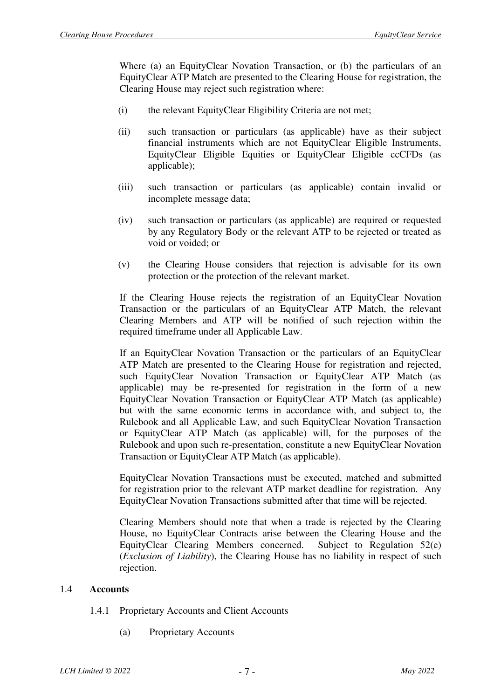Where (a) an EquityClear Novation Transaction, or (b) the particulars of an EquityClear ATP Match are presented to the Clearing House for registration, the Clearing House may reject such registration where:

- (i) the relevant EquityClear Eligibility Criteria are not met;
- (ii) such transaction or particulars (as applicable) have as their subject financial instruments which are not EquityClear Eligible Instruments, EquityClear Eligible Equities or EquityClear Eligible ccCFDs (as applicable);
- (iii) such transaction or particulars (as applicable) contain invalid or incomplete message data;
- (iv) such transaction or particulars (as applicable) are required or requested by any Regulatory Body or the relevant ATP to be rejected or treated as void or voided; or
- (v) the Clearing House considers that rejection is advisable for its own protection or the protection of the relevant market.

If the Clearing House rejects the registration of an EquityClear Novation Transaction or the particulars of an EquityClear ATP Match, the relevant Clearing Members and ATP will be notified of such rejection within the required timeframe under all Applicable Law.

If an EquityClear Novation Transaction or the particulars of an EquityClear ATP Match are presented to the Clearing House for registration and rejected, such EquityClear Novation Transaction or EquityClear ATP Match (as applicable) may be re-presented for registration in the form of a new EquityClear Novation Transaction or EquityClear ATP Match (as applicable) but with the same economic terms in accordance with, and subject to, the Rulebook and all Applicable Law, and such EquityClear Novation Transaction or EquityClear ATP Match (as applicable) will, for the purposes of the Rulebook and upon such re-presentation, constitute a new EquityClear Novation Transaction or EquityClear ATP Match (as applicable).

EquityClear Novation Transactions must be executed, matched and submitted for registration prior to the relevant ATP market deadline for registration. Any EquityClear Novation Transactions submitted after that time will be rejected.

Clearing Members should note that when a trade is rejected by the Clearing House, no EquityClear Contracts arise between the Clearing House and the EquityClear Clearing Members concerned. Subject to Regulation 52(e) (*Exclusion of Liability*), the Clearing House has no liability in respect of such rejection.

#### 1.4 **Accounts**

- 1.4.1 Proprietary Accounts and Client Accounts
	- (a) Proprietary Accounts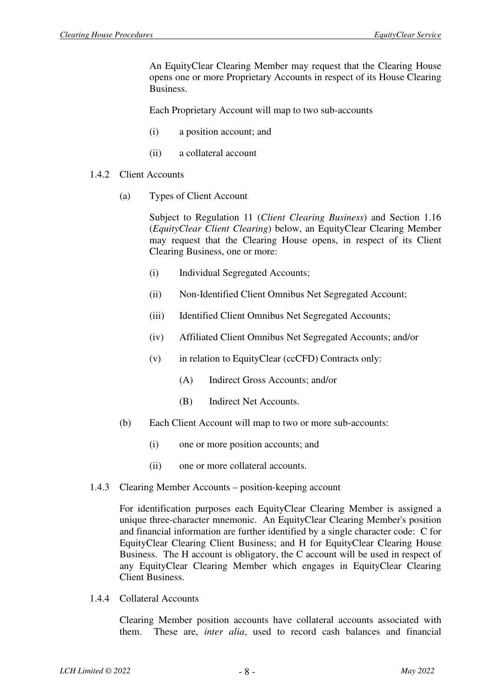An EquityClear Clearing Member may request that the Clearing House opens one or more Proprietary Accounts in respect of its House Clearing Business.

Each Proprietary Account will map to two sub-accounts

- (i) a position account; and
- (ii) a collateral account
- 1.4.2 Client Accounts
	- (a) Types of Client Account

Subject to Regulation 11 (*Client Clearing Business*) and Section 1.16 (*EquityClear Client Clearing*) below, an EquityClear Clearing Member may request that the Clearing House opens, in respect of its Client Clearing Business, one or more:

- (i) Individual Segregated Accounts;
- (ii) Non-Identified Client Omnibus Net Segregated Account;
- (iii) Identified Client Omnibus Net Segregated Accounts;
- (iv) Affiliated Client Omnibus Net Segregated Accounts; and/or
- (v) in relation to EquityClear (ccCFD) Contracts only:
	- (A) Indirect Gross Accounts; and/or
	- (B) Indirect Net Accounts.
- (b) Each Client Account will map to two or more sub-accounts:
	- (i) one or more position accounts; and
	- (ii) one or more collateral accounts.
- 1.4.3 Clearing Member Accounts position-keeping account

For identification purposes each EquityClear Clearing Member is assigned a unique three-character mnemonic. An EquityClear Clearing Member's position and financial information are further identified by a single character code: C for EquityClear Clearing Client Business; and H for EquityClear Clearing House Business. The H account is obligatory, the C account will be used in respect of any EquityClear Clearing Member which engages in EquityClear Clearing Client Business.

1.4.4 Collateral Accounts

Clearing Member position accounts have collateral accounts associated with them. These are, *inter alia*, used to record cash balances and financial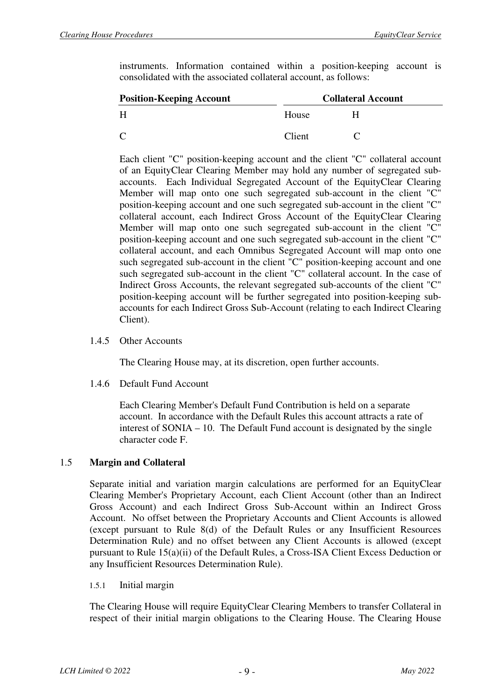instruments. Information contained within a position-keeping account is consolidated with the associated collateral account, as follows:

| <b>Position-Keeping Account</b> | <b>Collateral Account</b> |   |  |
|---------------------------------|---------------------------|---|--|
| Н                               | House                     | н |  |
|                                 | Client                    |   |  |

Each client "C" position-keeping account and the client "C" collateral account of an EquityClear Clearing Member may hold any number of segregated subaccounts. Each Individual Segregated Account of the EquityClear Clearing Member will map onto one such segregated sub-account in the client "C" position-keeping account and one such segregated sub-account in the client "C" collateral account, each Indirect Gross Account of the EquityClear Clearing Member will map onto one such segregated sub-account in the client "C" position-keeping account and one such segregated sub-account in the client "C" collateral account, and each Omnibus Segregated Account will map onto one such segregated sub-account in the client "C" position-keeping account and one such segregated sub-account in the client "C" collateral account. In the case of Indirect Gross Accounts, the relevant segregated sub-accounts of the client "C" position-keeping account will be further segregated into position-keeping subaccounts for each Indirect Gross Sub-Account (relating to each Indirect Clearing Client).

1.4.5 Other Accounts

The Clearing House may, at its discretion, open further accounts.

1.4.6 Default Fund Account

Each Clearing Member's Default Fund Contribution is held on a separate account. In accordance with the Default Rules this account attracts a rate of interest of SONIA – 10. The Default Fund account is designated by the single character code F.

#### 1.5 **Margin and Collateral**

Separate initial and variation margin calculations are performed for an EquityClear Clearing Member's Proprietary Account, each Client Account (other than an Indirect Gross Account) and each Indirect Gross Sub-Account within an Indirect Gross Account. No offset between the Proprietary Accounts and Client Accounts is allowed (except pursuant to Rule 8(d) of the Default Rules or any Insufficient Resources Determination Rule) and no offset between any Client Accounts is allowed (except pursuant to Rule 15(a)(ii) of the Default Rules, a Cross-ISA Client Excess Deduction or any Insufficient Resources Determination Rule).

#### 1.5.1 Initial margin

The Clearing House will require EquityClear Clearing Members to transfer Collateral in respect of their initial margin obligations to the Clearing House. The Clearing House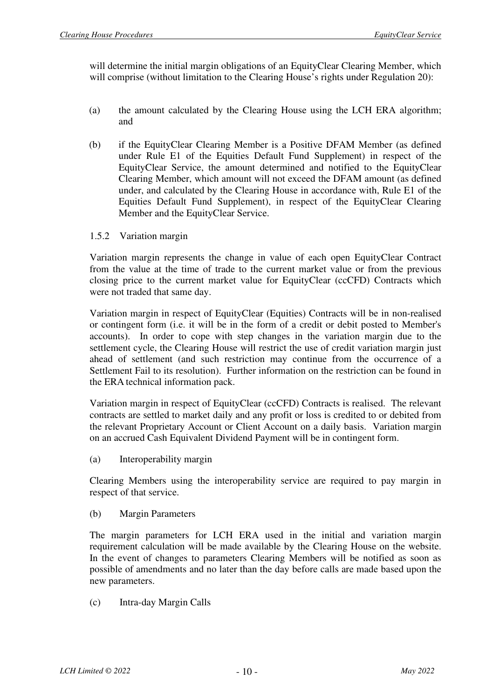will determine the initial margin obligations of an EquityClear Clearing Member, which will comprise (without limitation to the Clearing House's rights under Regulation 20):

- (a) the amount calculated by the Clearing House using the LCH ERA algorithm; and
- (b) if the EquityClear Clearing Member is a Positive DFAM Member (as defined under Rule E1 of the Equities Default Fund Supplement) in respect of the EquityClear Service, the amount determined and notified to the EquityClear Clearing Member, which amount will not exceed the DFAM amount (as defined under, and calculated by the Clearing House in accordance with, Rule E1 of the Equities Default Fund Supplement), in respect of the EquityClear Clearing Member and the EquityClear Service.
- 1.5.2 Variation margin

Variation margin represents the change in value of each open EquityClear Contract from the value at the time of trade to the current market value or from the previous closing price to the current market value for EquityClear (ccCFD) Contracts which were not traded that same day.

Variation margin in respect of EquityClear (Equities) Contracts will be in non-realised or contingent form (i.e. it will be in the form of a credit or debit posted to Member's accounts). In order to cope with step changes in the variation margin due to the settlement cycle, the Clearing House will restrict the use of credit variation margin just ahead of settlement (and such restriction may continue from the occurrence of a Settlement Fail to its resolution). Further information on the restriction can be found in the ERA technical information pack.

Variation margin in respect of EquityClear (ccCFD) Contracts is realised. The relevant contracts are settled to market daily and any profit or loss is credited to or debited from the relevant Proprietary Account or Client Account on a daily basis. Variation margin on an accrued Cash Equivalent Dividend Payment will be in contingent form.

(a) Interoperability margin

Clearing Members using the interoperability service are required to pay margin in respect of that service.

(b) Margin Parameters

The margin parameters for LCH ERA used in the initial and variation margin requirement calculation will be made available by the Clearing House on the website. In the event of changes to parameters Clearing Members will be notified as soon as possible of amendments and no later than the day before calls are made based upon the new parameters.

(c) Intra-day Margin Calls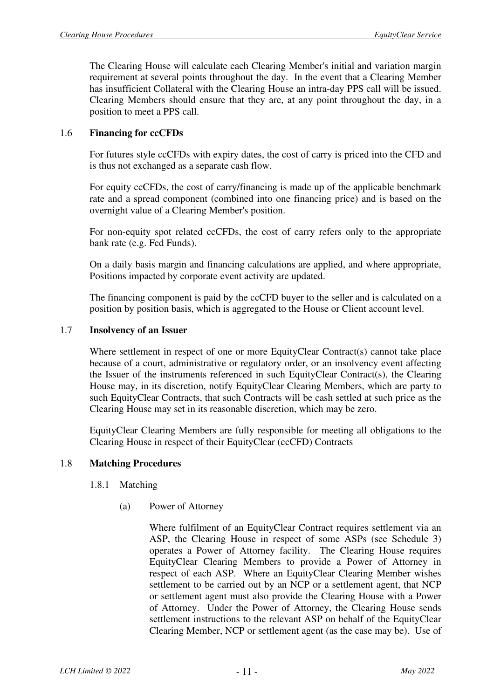The Clearing House will calculate each Clearing Member's initial and variation margin requirement at several points throughout the day. In the event that a Clearing Member has insufficient Collateral with the Clearing House an intra-day PPS call will be issued. Clearing Members should ensure that they are, at any point throughout the day, in a position to meet a PPS call.

#### 1.6 **Financing for ccCFDs**

For futures style ccCFDs with expiry dates, the cost of carry is priced into the CFD and is thus not exchanged as a separate cash flow.

For equity ccCFDs, the cost of carry/financing is made up of the applicable benchmark rate and a spread component (combined into one financing price) and is based on the overnight value of a Clearing Member's position.

For non-equity spot related ccCFDs, the cost of carry refers only to the appropriate bank rate (e.g. Fed Funds).

On a daily basis margin and financing calculations are applied, and where appropriate, Positions impacted by corporate event activity are updated.

The financing component is paid by the ccCFD buyer to the seller and is calculated on a position by position basis, which is aggregated to the House or Client account level.

#### 1.7 **Insolvency of an Issuer**

Where settlement in respect of one or more EquityClear Contract(s) cannot take place because of a court, administrative or regulatory order, or an insolvency event affecting the Issuer of the instruments referenced in such EquityClear Contract(s), the Clearing House may, in its discretion, notify EquityClear Clearing Members, which are party to such EquityClear Contracts, that such Contracts will be cash settled at such price as the Clearing House may set in its reasonable discretion, which may be zero.

EquityClear Clearing Members are fully responsible for meeting all obligations to the Clearing House in respect of their EquityClear (ccCFD) Contracts

#### 1.8 **Matching Procedures**

- 1.8.1 Matching
	- (a) Power of Attorney

Where fulfilment of an EquityClear Contract requires settlement via an ASP, the Clearing House in respect of some ASPs (see Schedule 3) operates a Power of Attorney facility. The Clearing House requires EquityClear Clearing Members to provide a Power of Attorney in respect of each ASP. Where an EquityClear Clearing Member wishes settlement to be carried out by an NCP or a settlement agent, that NCP or settlement agent must also provide the Clearing House with a Power of Attorney. Under the Power of Attorney, the Clearing House sends settlement instructions to the relevant ASP on behalf of the EquityClear Clearing Member, NCP or settlement agent (as the case may be). Use of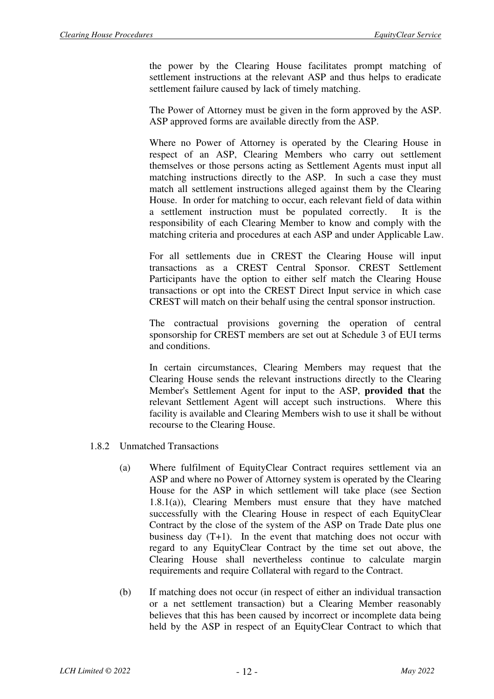the power by the Clearing House facilitates prompt matching of settlement instructions at the relevant ASP and thus helps to eradicate settlement failure caused by lack of timely matching.

The Power of Attorney must be given in the form approved by the ASP. ASP approved forms are available directly from the ASP.

Where no Power of Attorney is operated by the Clearing House in respect of an ASP, Clearing Members who carry out settlement themselves or those persons acting as Settlement Agents must input all matching instructions directly to the ASP. In such a case they must match all settlement instructions alleged against them by the Clearing House. In order for matching to occur, each relevant field of data within a settlement instruction must be populated correctly. It is the responsibility of each Clearing Member to know and comply with the matching criteria and procedures at each ASP and under Applicable Law.

For all settlements due in CREST the Clearing House will input transactions as a CREST Central Sponsor. CREST Settlement Participants have the option to either self match the Clearing House transactions or opt into the CREST Direct Input service in which case CREST will match on their behalf using the central sponsor instruction.

The contractual provisions governing the operation of central sponsorship for CREST members are set out at Schedule 3 of EUI terms and conditions.

In certain circumstances, Clearing Members may request that the Clearing House sends the relevant instructions directly to the Clearing Member's Settlement Agent for input to the ASP, **provided that** the relevant Settlement Agent will accept such instructions. Where this facility is available and Clearing Members wish to use it shall be without recourse to the Clearing House.

- 1.8.2 Unmatched Transactions
	- (a) Where fulfilment of EquityClear Contract requires settlement via an ASP and where no Power of Attorney system is operated by the Clearing House for the ASP in which settlement will take place (see Section 1.8.1(a)), Clearing Members must ensure that they have matched successfully with the Clearing House in respect of each EquityClear Contract by the close of the system of the ASP on Trade Date plus one business day (T+1). In the event that matching does not occur with regard to any EquityClear Contract by the time set out above, the Clearing House shall nevertheless continue to calculate margin requirements and require Collateral with regard to the Contract.
	- (b) If matching does not occur (in respect of either an individual transaction or a net settlement transaction) but a Clearing Member reasonably believes that this has been caused by incorrect or incomplete data being held by the ASP in respect of an EquityClear Contract to which that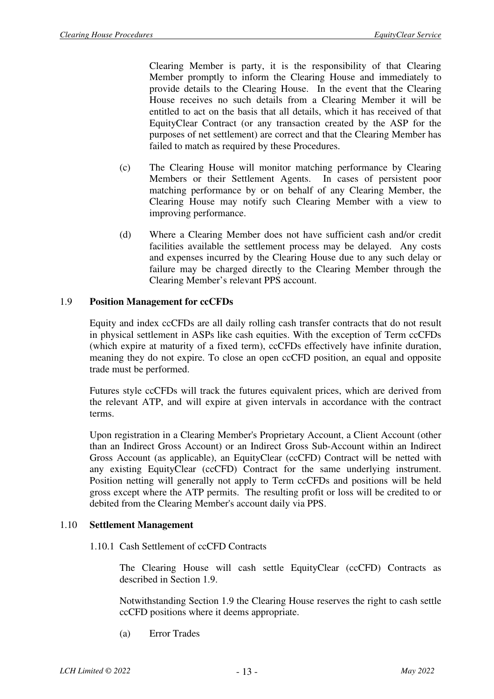Clearing Member is party, it is the responsibility of that Clearing Member promptly to inform the Clearing House and immediately to provide details to the Clearing House. In the event that the Clearing House receives no such details from a Clearing Member it will be entitled to act on the basis that all details, which it has received of that EquityClear Contract (or any transaction created by the ASP for the purposes of net settlement) are correct and that the Clearing Member has failed to match as required by these Procedures.

- (c) The Clearing House will monitor matching performance by Clearing Members or their Settlement Agents. In cases of persistent poor matching performance by or on behalf of any Clearing Member, the Clearing House may notify such Clearing Member with a view to improving performance.
- (d) Where a Clearing Member does not have sufficient cash and/or credit facilities available the settlement process may be delayed. Any costs and expenses incurred by the Clearing House due to any such delay or failure may be charged directly to the Clearing Member through the Clearing Member's relevant PPS account.

#### 1.9 **Position Management for ccCFDs**

Equity and index ccCFDs are all daily rolling cash transfer contracts that do not result in physical settlement in ASPs like cash equities. With the exception of Term ccCFDs (which expire at maturity of a fixed term), ccCFDs effectively have infinite duration, meaning they do not expire. To close an open ccCFD position, an equal and opposite trade must be performed.

Futures style ccCFDs will track the futures equivalent prices, which are derived from the relevant ATP, and will expire at given intervals in accordance with the contract terms.

Upon registration in a Clearing Member's Proprietary Account, a Client Account (other than an Indirect Gross Account) or an Indirect Gross Sub-Account within an Indirect Gross Account (as applicable), an EquityClear (ccCFD) Contract will be netted with any existing EquityClear (ccCFD) Contract for the same underlying instrument. Position netting will generally not apply to Term ccCFDs and positions will be held gross except where the ATP permits. The resulting profit or loss will be credited to or debited from the Clearing Member's account daily via PPS.

#### 1.10 **Settlement Management**

1.10.1 Cash Settlement of ccCFD Contracts

The Clearing House will cash settle EquityClear (ccCFD) Contracts as described in Section 1.9.

Notwithstanding Section 1.9 the Clearing House reserves the right to cash settle ccCFD positions where it deems appropriate.

(a) Error Trades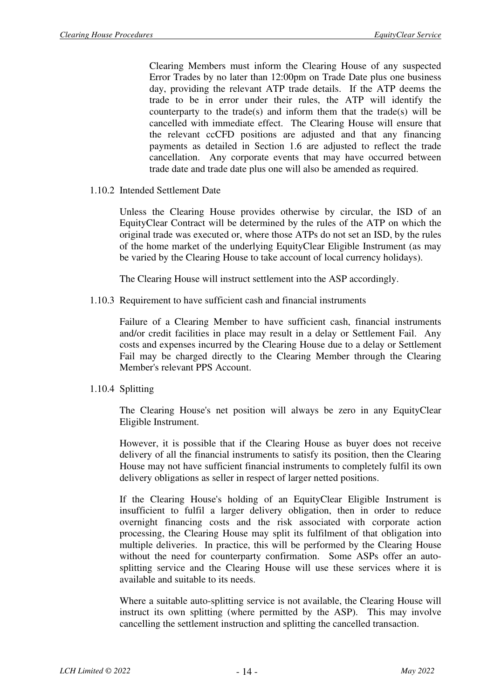Clearing Members must inform the Clearing House of any suspected Error Trades by no later than 12:00pm on Trade Date plus one business day, providing the relevant ATP trade details. If the ATP deems the trade to be in error under their rules, the ATP will identify the counterparty to the trade(s) and inform them that the trade(s) will be cancelled with immediate effect. The Clearing House will ensure that the relevant ccCFD positions are adjusted and that any financing payments as detailed in Section 1.6 are adjusted to reflect the trade cancellation. Any corporate events that may have occurred between trade date and trade date plus one will also be amended as required.

1.10.2 Intended Settlement Date

Unless the Clearing House provides otherwise by circular, the ISD of an EquityClear Contract will be determined by the rules of the ATP on which the original trade was executed or, where those ATPs do not set an ISD, by the rules of the home market of the underlying EquityClear Eligible Instrument (as may be varied by the Clearing House to take account of local currency holidays).

The Clearing House will instruct settlement into the ASP accordingly.

1.10.3 Requirement to have sufficient cash and financial instruments

Failure of a Clearing Member to have sufficient cash, financial instruments and/or credit facilities in place may result in a delay or Settlement Fail. Any costs and expenses incurred by the Clearing House due to a delay or Settlement Fail may be charged directly to the Clearing Member through the Clearing Member's relevant PPS Account.

1.10.4 Splitting

The Clearing House's net position will always be zero in any EquityClear Eligible Instrument.

However, it is possible that if the Clearing House as buyer does not receive delivery of all the financial instruments to satisfy its position, then the Clearing House may not have sufficient financial instruments to completely fulfil its own delivery obligations as seller in respect of larger netted positions.

If the Clearing House's holding of an EquityClear Eligible Instrument is insufficient to fulfil a larger delivery obligation, then in order to reduce overnight financing costs and the risk associated with corporate action processing, the Clearing House may split its fulfilment of that obligation into multiple deliveries. In practice, this will be performed by the Clearing House without the need for counterparty confirmation. Some ASPs offer an autosplitting service and the Clearing House will use these services where it is available and suitable to its needs.

Where a suitable auto-splitting service is not available, the Clearing House will instruct its own splitting (where permitted by the ASP). This may involve cancelling the settlement instruction and splitting the cancelled transaction.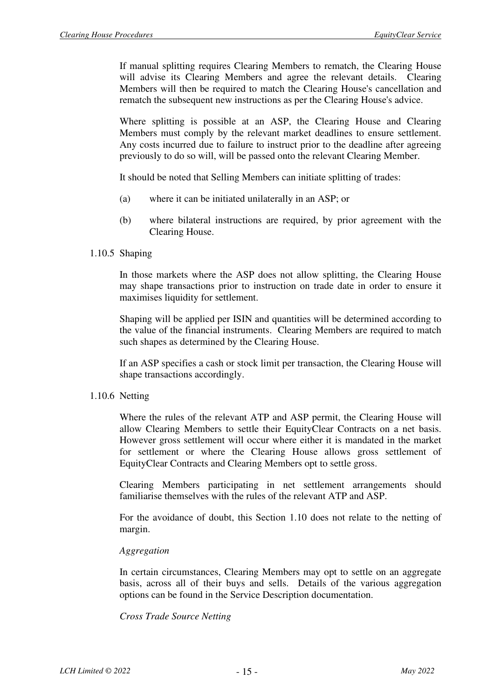If manual splitting requires Clearing Members to rematch, the Clearing House will advise its Clearing Members and agree the relevant details. Clearing Members will then be required to match the Clearing House's cancellation and rematch the subsequent new instructions as per the Clearing House's advice.

Where splitting is possible at an ASP, the Clearing House and Clearing Members must comply by the relevant market deadlines to ensure settlement. Any costs incurred due to failure to instruct prior to the deadline after agreeing previously to do so will, will be passed onto the relevant Clearing Member.

It should be noted that Selling Members can initiate splitting of trades:

- (a) where it can be initiated unilaterally in an ASP; or
- (b) where bilateral instructions are required, by prior agreement with the Clearing House.

#### 1.10.5 Shaping

In those markets where the ASP does not allow splitting, the Clearing House may shape transactions prior to instruction on trade date in order to ensure it maximises liquidity for settlement.

Shaping will be applied per ISIN and quantities will be determined according to the value of the financial instruments. Clearing Members are required to match such shapes as determined by the Clearing House.

If an ASP specifies a cash or stock limit per transaction, the Clearing House will shape transactions accordingly.

#### 1.10.6 Netting

Where the rules of the relevant ATP and ASP permit, the Clearing House will allow Clearing Members to settle their EquityClear Contracts on a net basis. However gross settlement will occur where either it is mandated in the market for settlement or where the Clearing House allows gross settlement of EquityClear Contracts and Clearing Members opt to settle gross.

Clearing Members participating in net settlement arrangements should familiarise themselves with the rules of the relevant ATP and ASP.

For the avoidance of doubt, this Section 1.10 does not relate to the netting of margin.

#### *Aggregation*

In certain circumstances, Clearing Members may opt to settle on an aggregate basis, across all of their buys and sells. Details of the various aggregation options can be found in the Service Description documentation.

#### *Cross Trade Source Netting*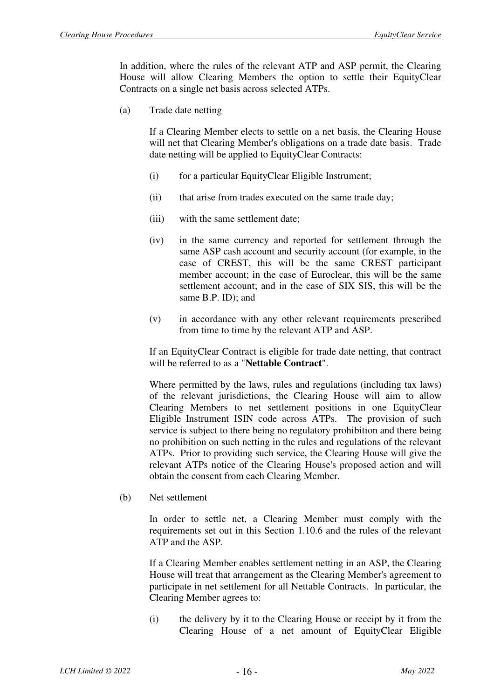In addition, where the rules of the relevant ATP and ASP permit, the Clearing House will allow Clearing Members the option to settle their EquityClear Contracts on a single net basis across selected ATPs.

(a) Trade date netting

If a Clearing Member elects to settle on a net basis, the Clearing House will net that Clearing Member's obligations on a trade date basis. Trade date netting will be applied to EquityClear Contracts:

- (i) for a particular EquityClear Eligible Instrument;
- (ii) that arise from trades executed on the same trade day;
- (iii) with the same settlement date;
- (iv) in the same currency and reported for settlement through the same ASP cash account and security account (for example, in the case of CREST, this will be the same CREST participant member account; in the case of Euroclear, this will be the same settlement account; and in the case of SIX SIS, this will be the same B.P. ID); and
- (v) in accordance with any other relevant requirements prescribed from time to time by the relevant ATP and ASP.

If an EquityClear Contract is eligible for trade date netting, that contract will be referred to as a "**Nettable Contract**".

Where permitted by the laws, rules and regulations (including tax laws) of the relevant jurisdictions, the Clearing House will aim to allow Clearing Members to net settlement positions in one EquityClear Eligible Instrument ISIN code across ATPs. The provision of such service is subject to there being no regulatory prohibition and there being no prohibition on such netting in the rules and regulations of the relevant ATPs. Prior to providing such service, the Clearing House will give the relevant ATPs notice of the Clearing House's proposed action and will obtain the consent from each Clearing Member.

(b) Net settlement

In order to settle net, a Clearing Member must comply with the requirements set out in this Section 1.10.6 and the rules of the relevant ATP and the ASP.

If a Clearing Member enables settlement netting in an ASP, the Clearing House will treat that arrangement as the Clearing Member's agreement to participate in net settlement for all Nettable Contracts. In particular, the Clearing Member agrees to:

(i) the delivery by it to the Clearing House or receipt by it from the Clearing House of a net amount of EquityClear Eligible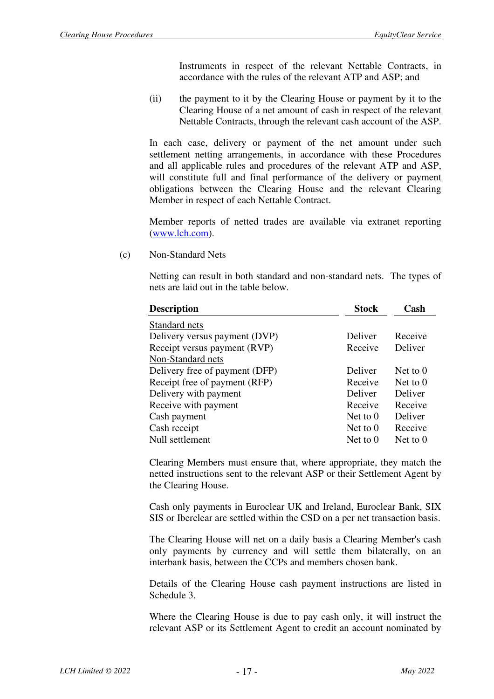Instruments in respect of the relevant Nettable Contracts, in accordance with the rules of the relevant ATP and ASP; and

(ii) the payment to it by the Clearing House or payment by it to the Clearing House of a net amount of cash in respect of the relevant Nettable Contracts, through the relevant cash account of the ASP.

In each case, delivery or payment of the net amount under such settlement netting arrangements, in accordance with these Procedures and all applicable rules and procedures of the relevant ATP and ASP, will constitute full and final performance of the delivery or payment obligations between the Clearing House and the relevant Clearing Member in respect of each Nettable Contract.

Member reports of netted trades are available via extranet reporting (www.lch.com).

(c) Non-Standard Nets

Netting can result in both standard and non-standard nets. The types of nets are laid out in the table below.

| <b>Description</b>             | <b>Stock</b> | Cash            |
|--------------------------------|--------------|-----------------|
| Standard nets                  |              |                 |
| Delivery versus payment (DVP)  | Deliver      | Receive         |
| Receipt versus payment (RVP)   | Receive      | Deliver         |
| Non-Standard nets              |              |                 |
| Delivery free of payment (DFP) | Deliver      | Net to $\theta$ |
| Receipt free of payment (RFP)  | Receive      | Net to $\theta$ |
| Delivery with payment          | Deliver      | Deliver         |
| Receive with payment           | Receive      | Receive         |
| Cash payment                   | Net to $0$   | Deliver         |
| Cash receipt                   | Net to $0$   | Receive         |
| Null settlement                | Net to $0$   | Net to $0$      |

Clearing Members must ensure that, where appropriate, they match the netted instructions sent to the relevant ASP or their Settlement Agent by the Clearing House.

Cash only payments in Euroclear UK and Ireland, Euroclear Bank, SIX SIS or Iberclear are settled within the CSD on a per net transaction basis.

The Clearing House will net on a daily basis a Clearing Member's cash only payments by currency and will settle them bilaterally, on an interbank basis, between the CCPs and members chosen bank.

Details of the Clearing House cash payment instructions are listed in Schedule 3.

Where the Clearing House is due to pay cash only, it will instruct the relevant ASP or its Settlement Agent to credit an account nominated by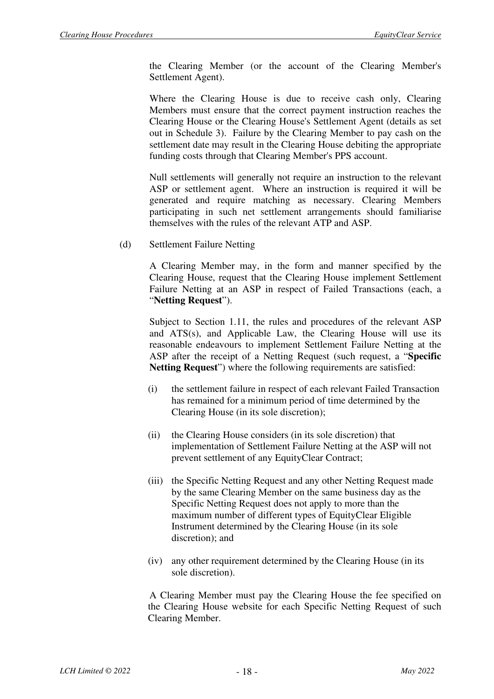the Clearing Member (or the account of the Clearing Member's Settlement Agent).

Where the Clearing House is due to receive cash only, Clearing Members must ensure that the correct payment instruction reaches the Clearing House or the Clearing House's Settlement Agent (details as set out in Schedule 3). Failure by the Clearing Member to pay cash on the settlement date may result in the Clearing House debiting the appropriate funding costs through that Clearing Member's PPS account.

Null settlements will generally not require an instruction to the relevant ASP or settlement agent. Where an instruction is required it will be generated and require matching as necessary. Clearing Members participating in such net settlement arrangements should familiarise themselves with the rules of the relevant ATP and ASP.

(d) Settlement Failure Netting

A Clearing Member may, in the form and manner specified by the Clearing House, request that the Clearing House implement Settlement Failure Netting at an ASP in respect of Failed Transactions (each, a "**Netting Request**").

Subject to Section 1.11, the rules and procedures of the relevant ASP and ATS(s), and Applicable Law, the Clearing House will use its reasonable endeavours to implement Settlement Failure Netting at the ASP after the receipt of a Netting Request (such request, a "**Specific Netting Request**") where the following requirements are satisfied:

- (i) the settlement failure in respect of each relevant Failed Transaction has remained for a minimum period of time determined by the Clearing House (in its sole discretion);
- (ii) the Clearing House considers (in its sole discretion) that implementation of Settlement Failure Netting at the ASP will not prevent settlement of any EquityClear Contract;
- (iii) the Specific Netting Request and any other Netting Request made by the same Clearing Member on the same business day as the Specific Netting Request does not apply to more than the maximum number of different types of EquityClear Eligible Instrument determined by the Clearing House (in its sole discretion); and
- (iv) any other requirement determined by the Clearing House (in its sole discretion).

A Clearing Member must pay the Clearing House the fee specified on the Clearing House website for each Specific Netting Request of such Clearing Member.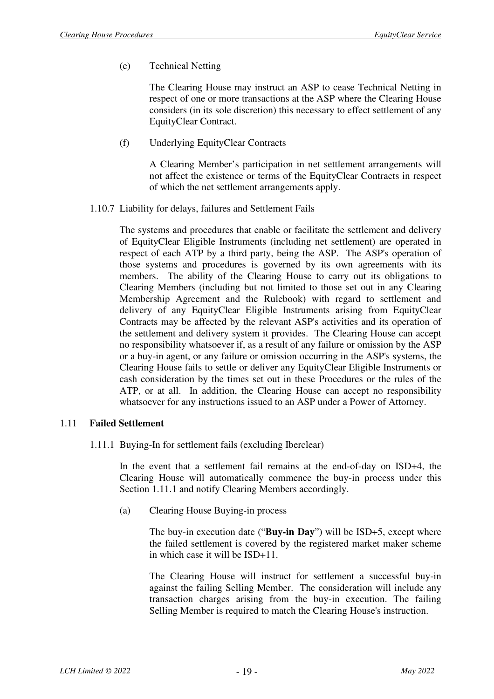(e) Technical Netting

The Clearing House may instruct an ASP to cease Technical Netting in respect of one or more transactions at the ASP where the Clearing House considers (in its sole discretion) this necessary to effect settlement of any EquityClear Contract.

(f) Underlying EquityClear Contracts

A Clearing Member's participation in net settlement arrangements will not affect the existence or terms of the EquityClear Contracts in respect of which the net settlement arrangements apply.

1.10.7 Liability for delays, failures and Settlement Fails

The systems and procedures that enable or facilitate the settlement and delivery of EquityClear Eligible Instruments (including net settlement) are operated in respect of each ATP by a third party, being the ASP. The ASP's operation of those systems and procedures is governed by its own agreements with its members. The ability of the Clearing House to carry out its obligations to Clearing Members (including but not limited to those set out in any Clearing Membership Agreement and the Rulebook) with regard to settlement and delivery of any EquityClear Eligible Instruments arising from EquityClear Contracts may be affected by the relevant ASP's activities and its operation of the settlement and delivery system it provides. The Clearing House can accept no responsibility whatsoever if, as a result of any failure or omission by the ASP or a buy-in agent, or any failure or omission occurring in the ASP's systems, the Clearing House fails to settle or deliver any EquityClear Eligible Instruments or cash consideration by the times set out in these Procedures or the rules of the ATP, or at all. In addition, the Clearing House can accept no responsibility whatsoever for any instructions issued to an ASP under a Power of Attorney.

#### 1.11 **Failed Settlement**

1.11.1 Buying-In for settlement fails (excluding Iberclear)

In the event that a settlement fail remains at the end-of-day on ISD+4, the Clearing House will automatically commence the buy-in process under this Section 1.11.1 and notify Clearing Members accordingly.

(a) Clearing House Buying-in process

The buy-in execution date ("**Buy-in Day**") will be ISD+5, except where the failed settlement is covered by the registered market maker scheme in which case it will be ISD+11.

The Clearing House will instruct for settlement a successful buy-in against the failing Selling Member. The consideration will include any transaction charges arising from the buy-in execution. The failing Selling Member is required to match the Clearing House's instruction.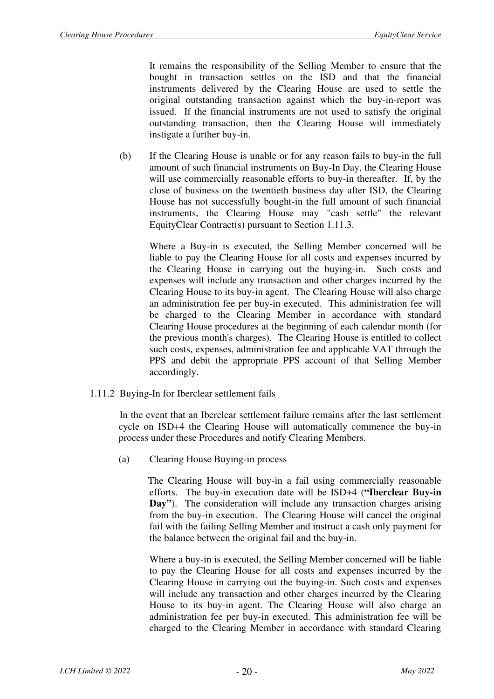It remains the responsibility of the Selling Member to ensure that the bought in transaction settles on the ISD and that the financial instruments delivered by the Clearing House are used to settle the original outstanding transaction against which the buy-in-report was issued. If the financial instruments are not used to satisfy the original outstanding transaction, then the Clearing House will immediately instigate a further buy-in.

(b) If the Clearing House is unable or for any reason fails to buy-in the full amount of such financial instruments on Buy-In Day, the Clearing House will use commercially reasonable efforts to buy-in thereafter. If, by the close of business on the twentieth business day after ISD, the Clearing House has not successfully bought-in the full amount of such financial instruments, the Clearing House may "cash settle" the relevant EquityClear Contract(s) pursuant to Section 1.11.3.

Where a Buy-in is executed, the Selling Member concerned will be liable to pay the Clearing House for all costs and expenses incurred by the Clearing House in carrying out the buying-in. Such costs and expenses will include any transaction and other charges incurred by the Clearing House to its buy-in agent. The Clearing House will also charge an administration fee per buy-in executed. This administration fee will be charged to the Clearing Member in accordance with standard Clearing House procedures at the beginning of each calendar month (for the previous month's charges). The Clearing House is entitled to collect such costs, expenses, administration fee and applicable VAT through the PPS and debit the appropriate PPS account of that Selling Member accordingly.

1.11.2 Buying-In for Iberclear settlement fails

In the event that an Iberclear settlement failure remains after the last settlement cycle on ISD+4 the Clearing House will automatically commence the buy-in process under these Procedures and notify Clearing Members.

(a) Clearing House Buying-in process

The Clearing House will buy-in a fail using commercially reasonable efforts. The buy-in execution date will be ISD+4 (**"Iberclear Buy-in**  Day"). The consideration will include any transaction charges arising from the buy-in execution. The Clearing House will cancel the original fail with the failing Selling Member and instruct a cash only payment for the balance between the original fail and the buy-in.

Where a buy-in is executed, the Selling Member concerned will be liable to pay the Clearing House for all costs and expenses incurred by the Clearing House in carrying out the buying-in. Such costs and expenses will include any transaction and other charges incurred by the Clearing House to its buy-in agent. The Clearing House will also charge an administration fee per buy-in executed. This administration fee will be charged to the Clearing Member in accordance with standard Clearing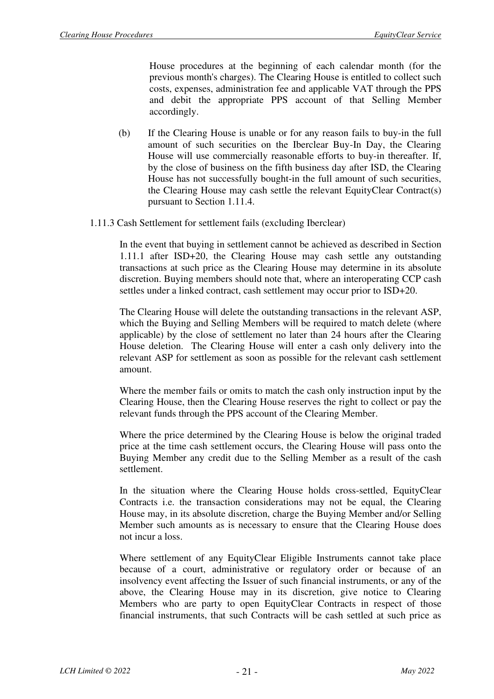House procedures at the beginning of each calendar month (for the previous month's charges). The Clearing House is entitled to collect such costs, expenses, administration fee and applicable VAT through the PPS and debit the appropriate PPS account of that Selling Member accordingly.

- (b) If the Clearing House is unable or for any reason fails to buy-in the full amount of such securities on the Iberclear Buy-In Day, the Clearing House will use commercially reasonable efforts to buy-in thereafter. If, by the close of business on the fifth business day after ISD, the Clearing House has not successfully bought-in the full amount of such securities, the Clearing House may cash settle the relevant EquityClear Contract(s) pursuant to Section 1.11.4.
- 1.11.3 Cash Settlement for settlement fails (excluding Iberclear)

In the event that buying in settlement cannot be achieved as described in Section 1.11.1 after ISD+20, the Clearing House may cash settle any outstanding transactions at such price as the Clearing House may determine in its absolute discretion. Buying members should note that, where an interoperating CCP cash settles under a linked contract, cash settlement may occur prior to ISD+20.

The Clearing House will delete the outstanding transactions in the relevant ASP, which the Buying and Selling Members will be required to match delete (where applicable) by the close of settlement no later than 24 hours after the Clearing House deletion. The Clearing House will enter a cash only delivery into the relevant ASP for settlement as soon as possible for the relevant cash settlement amount.

Where the member fails or omits to match the cash only instruction input by the Clearing House, then the Clearing House reserves the right to collect or pay the relevant funds through the PPS account of the Clearing Member.

Where the price determined by the Clearing House is below the original traded price at the time cash settlement occurs, the Clearing House will pass onto the Buying Member any credit due to the Selling Member as a result of the cash settlement.

In the situation where the Clearing House holds cross-settled, EquityClear Contracts i.e. the transaction considerations may not be equal, the Clearing House may, in its absolute discretion, charge the Buying Member and/or Selling Member such amounts as is necessary to ensure that the Clearing House does not incur a loss.

Where settlement of any EquityClear Eligible Instruments cannot take place because of a court, administrative or regulatory order or because of an insolvency event affecting the Issuer of such financial instruments, or any of the above, the Clearing House may in its discretion, give notice to Clearing Members who are party to open EquityClear Contracts in respect of those financial instruments, that such Contracts will be cash settled at such price as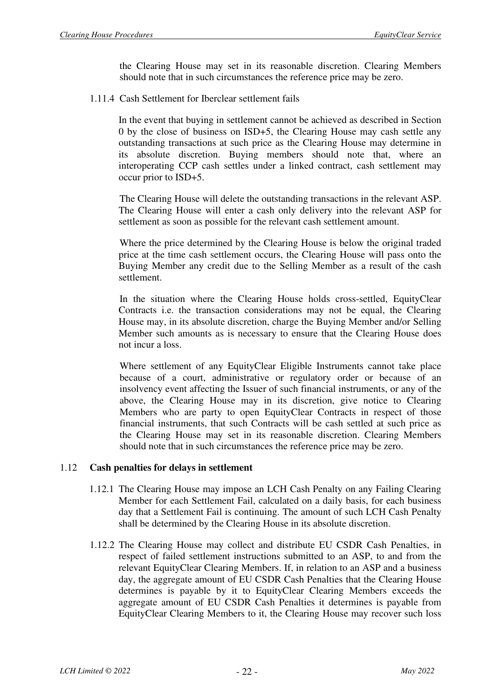the Clearing House may set in its reasonable discretion. Clearing Members should note that in such circumstances the reference price may be zero.

1.11.4 Cash Settlement for Iberclear settlement fails

In the event that buying in settlement cannot be achieved as described in Section 0 by the close of business on ISD+5, the Clearing House may cash settle any outstanding transactions at such price as the Clearing House may determine in its absolute discretion. Buying members should note that, where an interoperating CCP cash settles under a linked contract, cash settlement may occur prior to ISD+5.

The Clearing House will delete the outstanding transactions in the relevant ASP. The Clearing House will enter a cash only delivery into the relevant ASP for settlement as soon as possible for the relevant cash settlement amount.

Where the price determined by the Clearing House is below the original traded price at the time cash settlement occurs, the Clearing House will pass onto the Buying Member any credit due to the Selling Member as a result of the cash settlement.

In the situation where the Clearing House holds cross-settled, EquityClear Contracts i.e. the transaction considerations may not be equal, the Clearing House may, in its absolute discretion, charge the Buying Member and/or Selling Member such amounts as is necessary to ensure that the Clearing House does not incur a loss.

Where settlement of any EquityClear Eligible Instruments cannot take place because of a court, administrative or regulatory order or because of an insolvency event affecting the Issuer of such financial instruments, or any of the above, the Clearing House may in its discretion, give notice to Clearing Members who are party to open EquityClear Contracts in respect of those financial instruments, that such Contracts will be cash settled at such price as the Clearing House may set in its reasonable discretion. Clearing Members should note that in such circumstances the reference price may be zero.

#### 1.12 **Cash penalties for delays in settlement**

- 1.12.1 The Clearing House may impose an LCH Cash Penalty on any Failing Clearing Member for each Settlement Fail, calculated on a daily basis, for each business day that a Settlement Fail is continuing. The amount of such LCH Cash Penalty shall be determined by the Clearing House in its absolute discretion.
- 1.12.2 The Clearing House may collect and distribute EU CSDR Cash Penalties, in respect of failed settlement instructions submitted to an ASP, to and from the relevant EquityClear Clearing Members. If, in relation to an ASP and a business day, the aggregate amount of EU CSDR Cash Penalties that the Clearing House determines is payable by it to EquityClear Clearing Members exceeds the aggregate amount of EU CSDR Cash Penalties it determines is payable from EquityClear Clearing Members to it, the Clearing House may recover such loss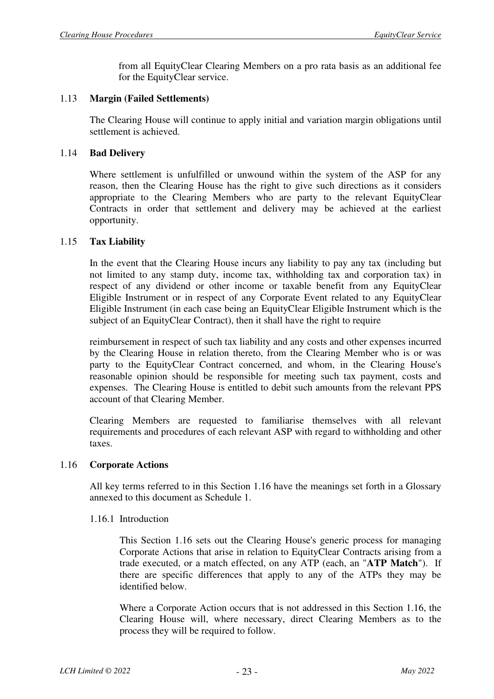from all EquityClear Clearing Members on a pro rata basis as an additional fee for the EquityClear service.

#### 1.13 **Margin (Failed Settlements)**

The Clearing House will continue to apply initial and variation margin obligations until settlement is achieved.

#### 1.14 **Bad Delivery**

Where settlement is unfulfilled or unwound within the system of the ASP for any reason, then the Clearing House has the right to give such directions as it considers appropriate to the Clearing Members who are party to the relevant EquityClear Contracts in order that settlement and delivery may be achieved at the earliest opportunity.

#### 1.15 **Tax Liability**

In the event that the Clearing House incurs any liability to pay any tax (including but not limited to any stamp duty, income tax, withholding tax and corporation tax) in respect of any dividend or other income or taxable benefit from any EquityClear Eligible Instrument or in respect of any Corporate Event related to any EquityClear Eligible Instrument (in each case being an EquityClear Eligible Instrument which is the subject of an EquityClear Contract), then it shall have the right to require

reimbursement in respect of such tax liability and any costs and other expenses incurred by the Clearing House in relation thereto, from the Clearing Member who is or was party to the EquityClear Contract concerned, and whom, in the Clearing House's reasonable opinion should be responsible for meeting such tax payment, costs and expenses. The Clearing House is entitled to debit such amounts from the relevant PPS account of that Clearing Member.

Clearing Members are requested to familiarise themselves with all relevant requirements and procedures of each relevant ASP with regard to withholding and other taxes.

#### 1.16 **Corporate Actions**

All key terms referred to in this Section 1.16 have the meanings set forth in a Glossary annexed to this document as Schedule 1.

#### 1.16.1 Introduction

This Section 1.16 sets out the Clearing House's generic process for managing Corporate Actions that arise in relation to EquityClear Contracts arising from a trade executed, or a match effected, on any ATP (each, an "**ATP Match**"). If there are specific differences that apply to any of the ATPs they may be identified below.

Where a Corporate Action occurs that is not addressed in this Section 1.16, the Clearing House will, where necessary, direct Clearing Members as to the process they will be required to follow.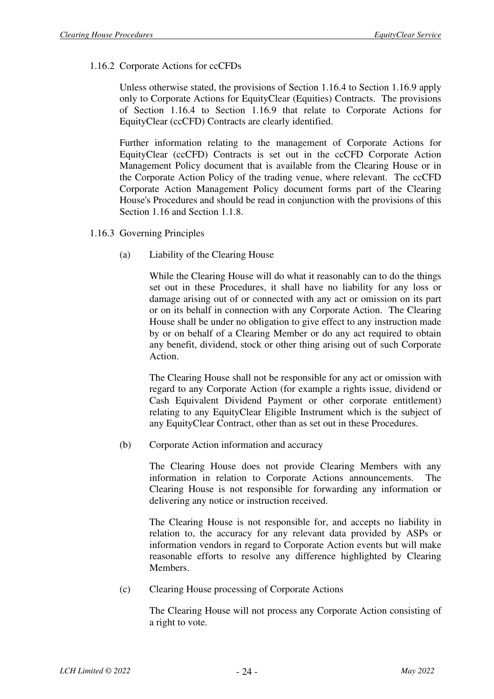#### 1.16.2 Corporate Actions for ccCFDs

Unless otherwise stated, the provisions of Section 1.16.4 to Section 1.16.9 apply only to Corporate Actions for EquityClear (Equities) Contracts. The provisions of Section 1.16.4 to Section 1.16.9 that relate to Corporate Actions for EquityClear (ccCFD) Contracts are clearly identified.

Further information relating to the management of Corporate Actions for EquityClear (ccCFD) Contracts is set out in the ccCFD Corporate Action Management Policy document that is available from the Clearing House or in the Corporate Action Policy of the trading venue, where relevant. The ccCFD Corporate Action Management Policy document forms part of the Clearing House's Procedures and should be read in conjunction with the provisions of this Section 1.16 and Section 1.1.8.

- 1.16.3 Governing Principles
	- (a) Liability of the Clearing House

While the Clearing House will do what it reasonably can to do the things set out in these Procedures, it shall have no liability for any loss or damage arising out of or connected with any act or omission on its part or on its behalf in connection with any Corporate Action. The Clearing House shall be under no obligation to give effect to any instruction made by or on behalf of a Clearing Member or do any act required to obtain any benefit, dividend, stock or other thing arising out of such Corporate Action.

The Clearing House shall not be responsible for any act or omission with regard to any Corporate Action (for example a rights issue, dividend or Cash Equivalent Dividend Payment or other corporate entitlement) relating to any EquityClear Eligible Instrument which is the subject of any EquityClear Contract, other than as set out in these Procedures.

(b) Corporate Action information and accuracy

The Clearing House does not provide Clearing Members with any information in relation to Corporate Actions announcements. The Clearing House is not responsible for forwarding any information or delivering any notice or instruction received.

The Clearing House is not responsible for, and accepts no liability in relation to, the accuracy for any relevant data provided by ASPs or information vendors in regard to Corporate Action events but will make reasonable efforts to resolve any difference highlighted by Clearing Members.

(c) Clearing House processing of Corporate Actions

The Clearing House will not process any Corporate Action consisting of a right to vote.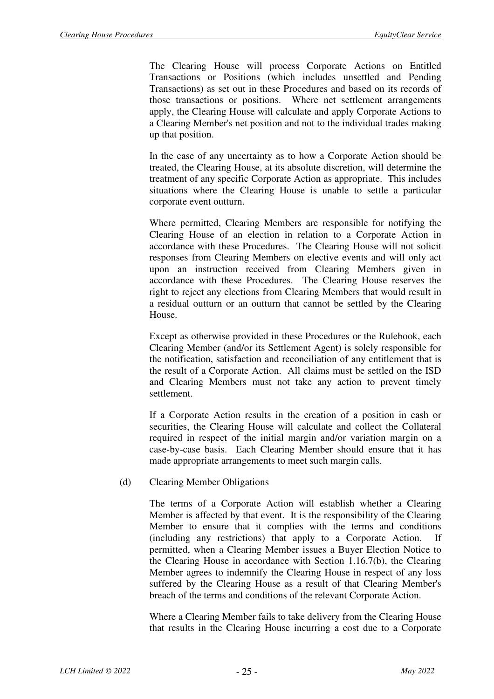The Clearing House will process Corporate Actions on Entitled Transactions or Positions (which includes unsettled and Pending Transactions) as set out in these Procedures and based on its records of those transactions or positions. Where net settlement arrangements apply, the Clearing House will calculate and apply Corporate Actions to a Clearing Member's net position and not to the individual trades making up that position.

In the case of any uncertainty as to how a Corporate Action should be treated, the Clearing House, at its absolute discretion, will determine the treatment of any specific Corporate Action as appropriate. This includes situations where the Clearing House is unable to settle a particular corporate event outturn.

Where permitted, Clearing Members are responsible for notifying the Clearing House of an election in relation to a Corporate Action in accordance with these Procedures. The Clearing House will not solicit responses from Clearing Members on elective events and will only act upon an instruction received from Clearing Members given in accordance with these Procedures. The Clearing House reserves the right to reject any elections from Clearing Members that would result in a residual outturn or an outturn that cannot be settled by the Clearing House.

Except as otherwise provided in these Procedures or the Rulebook, each Clearing Member (and/or its Settlement Agent) is solely responsible for the notification, satisfaction and reconciliation of any entitlement that is the result of a Corporate Action. All claims must be settled on the ISD and Clearing Members must not take any action to prevent timely settlement.

If a Corporate Action results in the creation of a position in cash or securities, the Clearing House will calculate and collect the Collateral required in respect of the initial margin and/or variation margin on a case-by-case basis. Each Clearing Member should ensure that it has made appropriate arrangements to meet such margin calls.

(d) Clearing Member Obligations

The terms of a Corporate Action will establish whether a Clearing Member is affected by that event. It is the responsibility of the Clearing Member to ensure that it complies with the terms and conditions (including any restrictions) that apply to a Corporate Action. permitted, when a Clearing Member issues a Buyer Election Notice to the Clearing House in accordance with Section 1.16.7(b), the Clearing Member agrees to indemnify the Clearing House in respect of any loss suffered by the Clearing House as a result of that Clearing Member's breach of the terms and conditions of the relevant Corporate Action.

Where a Clearing Member fails to take delivery from the Clearing House that results in the Clearing House incurring a cost due to a Corporate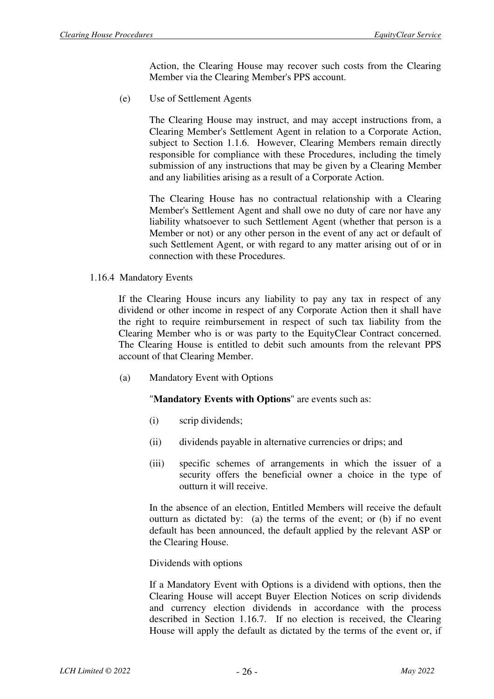Action, the Clearing House may recover such costs from the Clearing Member via the Clearing Member's PPS account.

(e) Use of Settlement Agents

The Clearing House may instruct, and may accept instructions from, a Clearing Member's Settlement Agent in relation to a Corporate Action, subject to Section 1.1.6. However, Clearing Members remain directly responsible for compliance with these Procedures, including the timely submission of any instructions that may be given by a Clearing Member and any liabilities arising as a result of a Corporate Action.

The Clearing House has no contractual relationship with a Clearing Member's Settlement Agent and shall owe no duty of care nor have any liability whatsoever to such Settlement Agent (whether that person is a Member or not) or any other person in the event of any act or default of such Settlement Agent, or with regard to any matter arising out of or in connection with these Procedures.

1.16.4 Mandatory Events

If the Clearing House incurs any liability to pay any tax in respect of any dividend or other income in respect of any Corporate Action then it shall have the right to require reimbursement in respect of such tax liability from the Clearing Member who is or was party to the EquityClear Contract concerned. The Clearing House is entitled to debit such amounts from the relevant PPS account of that Clearing Member.

(a) Mandatory Event with Options

#### "**Mandatory Events with Options**" are events such as:

- (i) scrip dividends;
- (ii) dividends payable in alternative currencies or drips; and
- (iii) specific schemes of arrangements in which the issuer of a security offers the beneficial owner a choice in the type of outturn it will receive.

In the absence of an election, Entitled Members will receive the default outturn as dictated by: (a) the terms of the event; or (b) if no event default has been announced, the default applied by the relevant ASP or the Clearing House.

Dividends with options

If a Mandatory Event with Options is a dividend with options, then the Clearing House will accept Buyer Election Notices on scrip dividends and currency election dividends in accordance with the process described in Section 1.16.7. If no election is received, the Clearing House will apply the default as dictated by the terms of the event or, if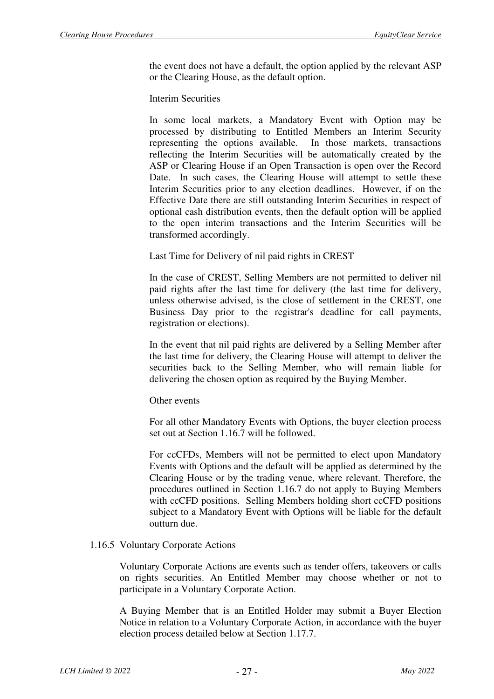the event does not have a default, the option applied by the relevant ASP or the Clearing House, as the default option.

Interim Securities

In some local markets, a Mandatory Event with Option may be processed by distributing to Entitled Members an Interim Security representing the options available. In those markets, transactions reflecting the Interim Securities will be automatically created by the ASP or Clearing House if an Open Transaction is open over the Record Date. In such cases, the Clearing House will attempt to settle these Interim Securities prior to any election deadlines. However, if on the Effective Date there are still outstanding Interim Securities in respect of optional cash distribution events, then the default option will be applied to the open interim transactions and the Interim Securities will be transformed accordingly.

Last Time for Delivery of nil paid rights in CREST

In the case of CREST, Selling Members are not permitted to deliver nil paid rights after the last time for delivery (the last time for delivery, unless otherwise advised, is the close of settlement in the CREST, one Business Day prior to the registrar's deadline for call payments, registration or elections).

In the event that nil paid rights are delivered by a Selling Member after the last time for delivery, the Clearing House will attempt to deliver the securities back to the Selling Member, who will remain liable for delivering the chosen option as required by the Buying Member.

Other events

For all other Mandatory Events with Options, the buyer election process set out at Section 1.16.7 will be followed.

For ccCFDs, Members will not be permitted to elect upon Mandatory Events with Options and the default will be applied as determined by the Clearing House or by the trading venue, where relevant. Therefore, the procedures outlined in Section 1.16.7 do not apply to Buying Members with ccCFD positions. Selling Members holding short ccCFD positions subject to a Mandatory Event with Options will be liable for the default outturn due.

#### 1.16.5 Voluntary Corporate Actions

Voluntary Corporate Actions are events such as tender offers, takeovers or calls on rights securities. An Entitled Member may choose whether or not to participate in a Voluntary Corporate Action.

A Buying Member that is an Entitled Holder may submit a Buyer Election Notice in relation to a Voluntary Corporate Action, in accordance with the buyer election process detailed below at Section 1.17.7.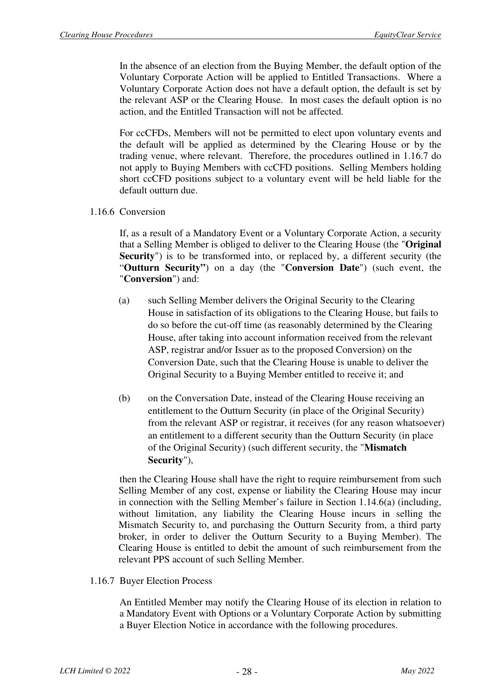In the absence of an election from the Buying Member, the default option of the Voluntary Corporate Action will be applied to Entitled Transactions. Where a Voluntary Corporate Action does not have a default option, the default is set by the relevant ASP or the Clearing House. In most cases the default option is no action, and the Entitled Transaction will not be affected.

For ccCFDs, Members will not be permitted to elect upon voluntary events and the default will be applied as determined by the Clearing House or by the trading venue, where relevant. Therefore, the procedures outlined in 1.16.7 do not apply to Buying Members with ccCFD positions. Selling Members holding short ccCFD positions subject to a voluntary event will be held liable for the default outturn due.

#### 1.16.6 Conversion

If, as a result of a Mandatory Event or a Voluntary Corporate Action, a security that a Selling Member is obliged to deliver to the Clearing House (the "**Original Security**") is to be transformed into, or replaced by, a different security (the "**Outturn Security"**) on a day (the "**Conversion Date**") (such event, the "**Conversion**") and:

- (a) such Selling Member delivers the Original Security to the Clearing House in satisfaction of its obligations to the Clearing House, but fails to do so before the cut-off time (as reasonably determined by the Clearing House, after taking into account information received from the relevant ASP, registrar and/or Issuer as to the proposed Conversion) on the Conversion Date, such that the Clearing House is unable to deliver the Original Security to a Buying Member entitled to receive it; and
- (b) on the Conversation Date, instead of the Clearing House receiving an entitlement to the Outturn Security (in place of the Original Security) from the relevant ASP or registrar, it receives (for any reason whatsoever) an entitlement to a different security than the Outturn Security (in place of the Original Security) (such different security, the "**Mismatch Security**"),

then the Clearing House shall have the right to require reimbursement from such Selling Member of any cost, expense or liability the Clearing House may incur in connection with the Selling Member's failure in Section 1.14.6(a) (including, without limitation, any liability the Clearing House incurs in selling the Mismatch Security to, and purchasing the Outturn Security from, a third party broker, in order to deliver the Outturn Security to a Buying Member). The Clearing House is entitled to debit the amount of such reimbursement from the relevant PPS account of such Selling Member.

1.16.7 Buyer Election Process

An Entitled Member may notify the Clearing House of its election in relation to a Mandatory Event with Options or a Voluntary Corporate Action by submitting a Buyer Election Notice in accordance with the following procedures.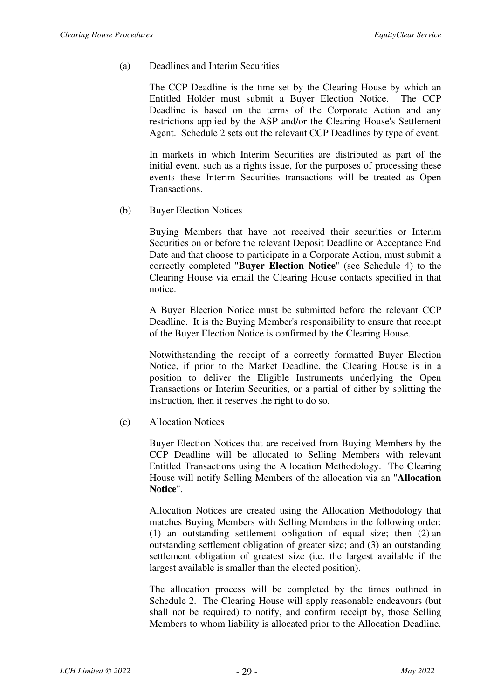(a) Deadlines and Interim Securities

The CCP Deadline is the time set by the Clearing House by which an Entitled Holder must submit a Buyer Election Notice. The CCP Deadline is based on the terms of the Corporate Action and any restrictions applied by the ASP and/or the Clearing House's Settlement Agent. Schedule 2 sets out the relevant CCP Deadlines by type of event.

In markets in which Interim Securities are distributed as part of the initial event, such as a rights issue, for the purposes of processing these events these Interim Securities transactions will be treated as Open Transactions.

(b) Buyer Election Notices

Buying Members that have not received their securities or Interim Securities on or before the relevant Deposit Deadline or Acceptance End Date and that choose to participate in a Corporate Action, must submit a correctly completed "**Buyer Election Notice**" (see Schedule 4) to the Clearing House via email the Clearing House contacts specified in that notice.

A Buyer Election Notice must be submitted before the relevant CCP Deadline. It is the Buying Member's responsibility to ensure that receipt of the Buyer Election Notice is confirmed by the Clearing House.

Notwithstanding the receipt of a correctly formatted Buyer Election Notice, if prior to the Market Deadline, the Clearing House is in a position to deliver the Eligible Instruments underlying the Open Transactions or Interim Securities, or a partial of either by splitting the instruction, then it reserves the right to do so.

(c) Allocation Notices

Buyer Election Notices that are received from Buying Members by the CCP Deadline will be allocated to Selling Members with relevant Entitled Transactions using the Allocation Methodology. The Clearing House will notify Selling Members of the allocation via an "**Allocation Notice**".

Allocation Notices are created using the Allocation Methodology that matches Buying Members with Selling Members in the following order: (1) an outstanding settlement obligation of equal size; then (2) an outstanding settlement obligation of greater size; and (3) an outstanding settlement obligation of greatest size (i.e. the largest available if the largest available is smaller than the elected position).

The allocation process will be completed by the times outlined in Schedule 2. The Clearing House will apply reasonable endeavours (but shall not be required) to notify, and confirm receipt by, those Selling Members to whom liability is allocated prior to the Allocation Deadline.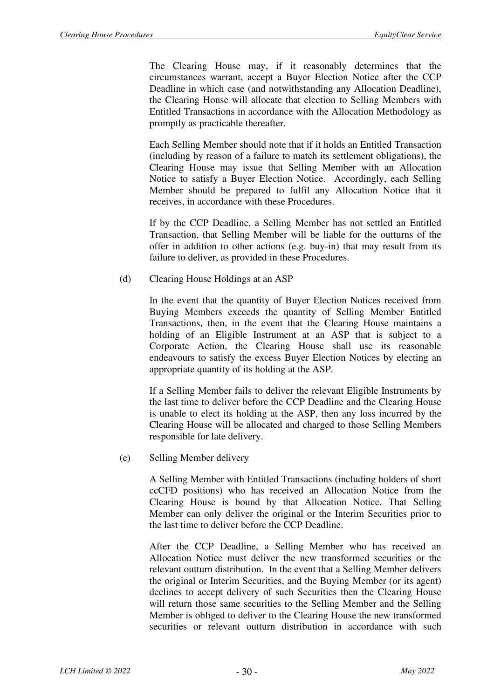The Clearing House may, if it reasonably determines that the circumstances warrant, accept a Buyer Election Notice after the CCP Deadline in which case (and notwithstanding any Allocation Deadline), the Clearing House will allocate that election to Selling Members with Entitled Transactions in accordance with the Allocation Methodology as promptly as practicable thereafter.

Each Selling Member should note that if it holds an Entitled Transaction (including by reason of a failure to match its settlement obligations), the Clearing House may issue that Selling Member with an Allocation Notice to satisfy a Buyer Election Notice. Accordingly, each Selling Member should be prepared to fulfil any Allocation Notice that it receives, in accordance with these Procedures.

If by the CCP Deadline, a Selling Member has not settled an Entitled Transaction, that Selling Member will be liable for the outturns of the offer in addition to other actions (e.g. buy-in) that may result from its failure to deliver, as provided in these Procedures.

(d) Clearing House Holdings at an ASP

In the event that the quantity of Buyer Election Notices received from Buying Members exceeds the quantity of Selling Member Entitled Transactions, then, in the event that the Clearing House maintains a holding of an Eligible Instrument at an ASP that is subject to a Corporate Action, the Clearing House shall use its reasonable endeavours to satisfy the excess Buyer Election Notices by electing an appropriate quantity of its holding at the ASP.

If a Selling Member fails to deliver the relevant Eligible Instruments by the last time to deliver before the CCP Deadline and the Clearing House is unable to elect its holding at the ASP, then any loss incurred by the Clearing House will be allocated and charged to those Selling Members responsible for late delivery.

(e) Selling Member delivery

A Selling Member with Entitled Transactions (including holders of short ccCFD positions) who has received an Allocation Notice from the Clearing House is bound by that Allocation Notice. That Selling Member can only deliver the original or the Interim Securities prior to the last time to deliver before the CCP Deadline.

After the CCP Deadline, a Selling Member who has received an Allocation Notice must deliver the new transformed securities or the relevant outturn distribution. In the event that a Selling Member delivers the original or Interim Securities, and the Buying Member (or its agent) declines to accept delivery of such Securities then the Clearing House will return those same securities to the Selling Member and the Selling Member is obliged to deliver to the Clearing House the new transformed securities or relevant outturn distribution in accordance with such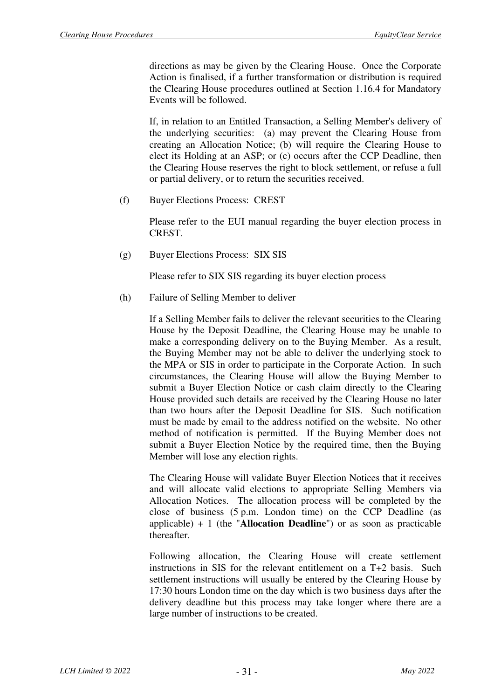directions as may be given by the Clearing House. Once the Corporate Action is finalised, if a further transformation or distribution is required the Clearing House procedures outlined at Section 1.16.4 for Mandatory Events will be followed.

If, in relation to an Entitled Transaction, a Selling Member's delivery of the underlying securities: (a) may prevent the Clearing House from creating an Allocation Notice; (b) will require the Clearing House to elect its Holding at an ASP; or (c) occurs after the CCP Deadline, then the Clearing House reserves the right to block settlement, or refuse a full or partial delivery, or to return the securities received.

(f) Buyer Elections Process: CREST

Please refer to the EUI manual regarding the buyer election process in CREST.

(g) Buyer Elections Process: SIX SIS

Please refer to SIX SIS regarding its buyer election process

(h) Failure of Selling Member to deliver

If a Selling Member fails to deliver the relevant securities to the Clearing House by the Deposit Deadline, the Clearing House may be unable to make a corresponding delivery on to the Buying Member. As a result, the Buying Member may not be able to deliver the underlying stock to the MPA or SIS in order to participate in the Corporate Action. In such circumstances, the Clearing House will allow the Buying Member to submit a Buyer Election Notice or cash claim directly to the Clearing House provided such details are received by the Clearing House no later than two hours after the Deposit Deadline for SIS. Such notification must be made by email to the address notified on the website. No other method of notification is permitted. If the Buying Member does not submit a Buyer Election Notice by the required time, then the Buying Member will lose any election rights.

The Clearing House will validate Buyer Election Notices that it receives and will allocate valid elections to appropriate Selling Members via Allocation Notices. The allocation process will be completed by the close of business (5 p.m. London time) on the CCP Deadline (as applicable) + 1 (the "**Allocation Deadline**") or as soon as practicable thereafter.

Following allocation, the Clearing House will create settlement instructions in SIS for the relevant entitlement on a T+2 basis. Such settlement instructions will usually be entered by the Clearing House by 17:30 hours London time on the day which is two business days after the delivery deadline but this process may take longer where there are a large number of instructions to be created.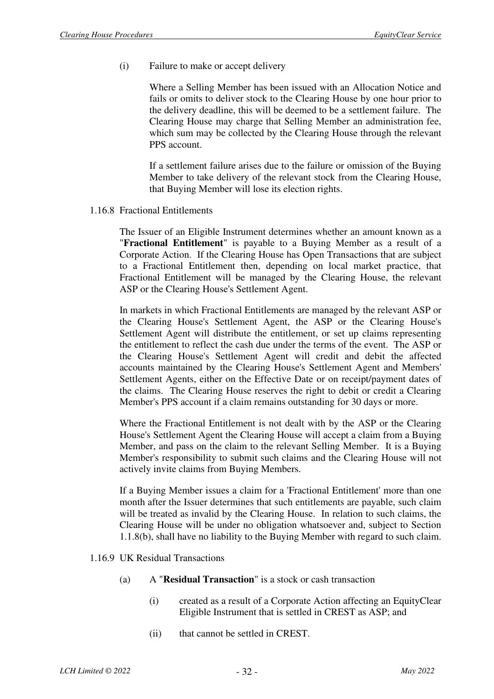(i) Failure to make or accept delivery

Where a Selling Member has been issued with an Allocation Notice and fails or omits to deliver stock to the Clearing House by one hour prior to the delivery deadline, this will be deemed to be a settlement failure. The Clearing House may charge that Selling Member an administration fee, which sum may be collected by the Clearing House through the relevant PPS account.

If a settlement failure arises due to the failure or omission of the Buying Member to take delivery of the relevant stock from the Clearing House, that Buying Member will lose its election rights.

1.16.8 Fractional Entitlements

The Issuer of an Eligible Instrument determines whether an amount known as a "**Fractional Entitlement**" is payable to a Buying Member as a result of a Corporate Action. If the Clearing House has Open Transactions that are subject to a Fractional Entitlement then, depending on local market practice, that Fractional Entitlement will be managed by the Clearing House, the relevant ASP or the Clearing House's Settlement Agent.

In markets in which Fractional Entitlements are managed by the relevant ASP or the Clearing House's Settlement Agent, the ASP or the Clearing House's Settlement Agent will distribute the entitlement, or set up claims representing the entitlement to reflect the cash due under the terms of the event. The ASP or the Clearing House's Settlement Agent will credit and debit the affected accounts maintained by the Clearing House's Settlement Agent and Members' Settlement Agents, either on the Effective Date or on receipt/payment dates of the claims. The Clearing House reserves the right to debit or credit a Clearing Member's PPS account if a claim remains outstanding for 30 days or more.

Where the Fractional Entitlement is not dealt with by the ASP or the Clearing House's Settlement Agent the Clearing House will accept a claim from a Buying Member, and pass on the claim to the relevant Selling Member. It is a Buying Member's responsibility to submit such claims and the Clearing House will not actively invite claims from Buying Members.

If a Buying Member issues a claim for a 'Fractional Entitlement' more than one month after the Issuer determines that such entitlements are payable, such claim will be treated as invalid by the Clearing House. In relation to such claims, the Clearing House will be under no obligation whatsoever and, subject to Section 1.1.8(b), shall have no liability to the Buying Member with regard to such claim.

- 1.16.9 UK Residual Transactions
	- (a) A "**Residual Transaction**" is a stock or cash transaction
		- (i) created as a result of a Corporate Action affecting an EquityClear Eligible Instrument that is settled in CREST as ASP; and
		- (ii) that cannot be settled in CREST.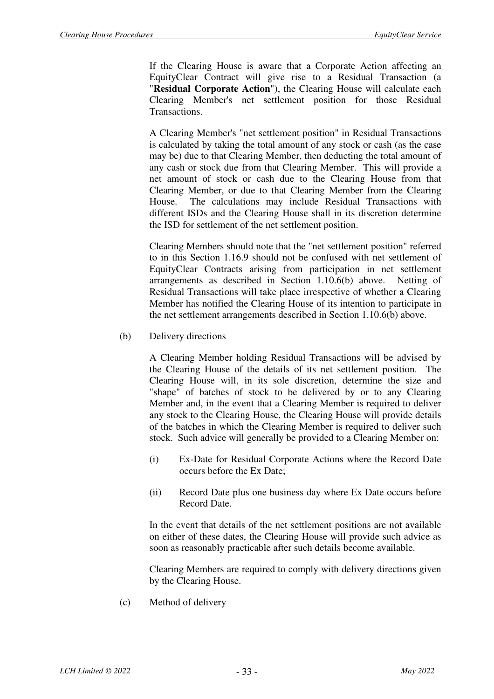If the Clearing House is aware that a Corporate Action affecting an EquityClear Contract will give rise to a Residual Transaction (a "**Residual Corporate Action**"), the Clearing House will calculate each Clearing Member's net settlement position for those Residual Transactions.

A Clearing Member's "net settlement position" in Residual Transactions is calculated by taking the total amount of any stock or cash (as the case may be) due to that Clearing Member, then deducting the total amount of any cash or stock due from that Clearing Member. This will provide a net amount of stock or cash due to the Clearing House from that Clearing Member, or due to that Clearing Member from the Clearing House. The calculations may include Residual Transactions with different ISDs and the Clearing House shall in its discretion determine the ISD for settlement of the net settlement position.

Clearing Members should note that the "net settlement position" referred to in this Section 1.16.9 should not be confused with net settlement of EquityClear Contracts arising from participation in net settlement arrangements as described in Section 1.10.6(b) above. Netting of Residual Transactions will take place irrespective of whether a Clearing Member has notified the Clearing House of its intention to participate in the net settlement arrangements described in Section 1.10.6(b) above.

(b) Delivery directions

A Clearing Member holding Residual Transactions will be advised by the Clearing House of the details of its net settlement position. The Clearing House will, in its sole discretion, determine the size and "shape" of batches of stock to be delivered by or to any Clearing Member and, in the event that a Clearing Member is required to deliver any stock to the Clearing House, the Clearing House will provide details of the batches in which the Clearing Member is required to deliver such stock. Such advice will generally be provided to a Clearing Member on:

- (i) Ex-Date for Residual Corporate Actions where the Record Date occurs before the Ex Date;
- (ii) Record Date plus one business day where Ex Date occurs before Record Date.

In the event that details of the net settlement positions are not available on either of these dates, the Clearing House will provide such advice as soon as reasonably practicable after such details become available.

Clearing Members are required to comply with delivery directions given by the Clearing House.

(c) Method of delivery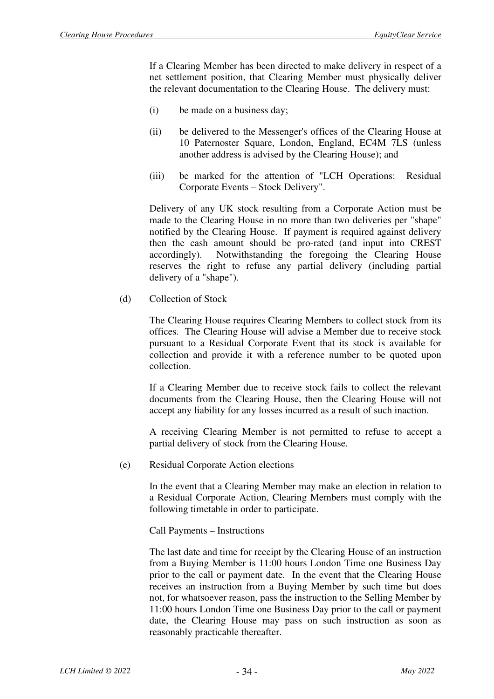If a Clearing Member has been directed to make delivery in respect of a net settlement position, that Clearing Member must physically deliver the relevant documentation to the Clearing House. The delivery must:

- (i) be made on a business day;
- (ii) be delivered to the Messenger's offices of the Clearing House at 10 Paternoster Square, London, England, EC4M 7LS (unless another address is advised by the Clearing House); and
- (iii) be marked for the attention of "LCH Operations: Residual Corporate Events – Stock Delivery".

Delivery of any UK stock resulting from a Corporate Action must be made to the Clearing House in no more than two deliveries per "shape" notified by the Clearing House. If payment is required against delivery then the cash amount should be pro-rated (and input into CREST accordingly). Notwithstanding the foregoing the Clearing House reserves the right to refuse any partial delivery (including partial delivery of a "shape").

(d) Collection of Stock

The Clearing House requires Clearing Members to collect stock from its offices. The Clearing House will advise a Member due to receive stock pursuant to a Residual Corporate Event that its stock is available for collection and provide it with a reference number to be quoted upon collection.

If a Clearing Member due to receive stock fails to collect the relevant documents from the Clearing House, then the Clearing House will not accept any liability for any losses incurred as a result of such inaction.

A receiving Clearing Member is not permitted to refuse to accept a partial delivery of stock from the Clearing House.

(e) Residual Corporate Action elections

In the event that a Clearing Member may make an election in relation to a Residual Corporate Action, Clearing Members must comply with the following timetable in order to participate.

Call Payments – Instructions

The last date and time for receipt by the Clearing House of an instruction from a Buying Member is 11:00 hours London Time one Business Day prior to the call or payment date. In the event that the Clearing House receives an instruction from a Buying Member by such time but does not, for whatsoever reason, pass the instruction to the Selling Member by 11:00 hours London Time one Business Day prior to the call or payment date, the Clearing House may pass on such instruction as soon as reasonably practicable thereafter.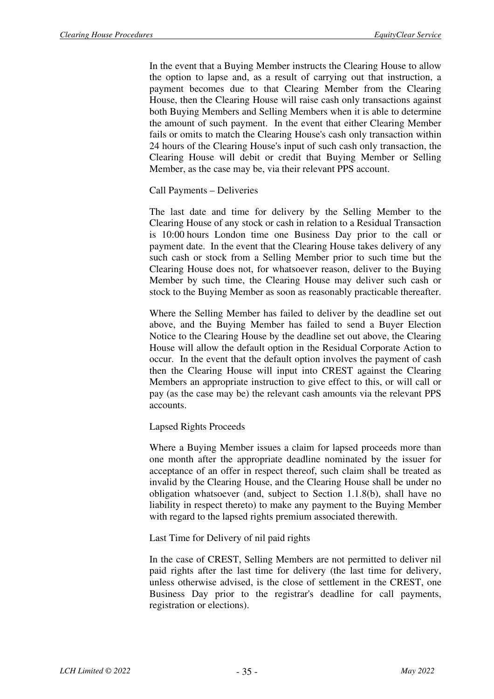In the event that a Buying Member instructs the Clearing House to allow the option to lapse and, as a result of carrying out that instruction, a payment becomes due to that Clearing Member from the Clearing House, then the Clearing House will raise cash only transactions against both Buying Members and Selling Members when it is able to determine the amount of such payment. In the event that either Clearing Member fails or omits to match the Clearing House's cash only transaction within 24 hours of the Clearing House's input of such cash only transaction, the Clearing House will debit or credit that Buying Member or Selling Member, as the case may be, via their relevant PPS account.

Call Payments – Deliveries

The last date and time for delivery by the Selling Member to the Clearing House of any stock or cash in relation to a Residual Transaction is 10:00 hours London time one Business Day prior to the call or payment date. In the event that the Clearing House takes delivery of any such cash or stock from a Selling Member prior to such time but the Clearing House does not, for whatsoever reason, deliver to the Buying Member by such time, the Clearing House may deliver such cash or stock to the Buying Member as soon as reasonably practicable thereafter.

Where the Selling Member has failed to deliver by the deadline set out above, and the Buying Member has failed to send a Buyer Election Notice to the Clearing House by the deadline set out above, the Clearing House will allow the default option in the Residual Corporate Action to occur. In the event that the default option involves the payment of cash then the Clearing House will input into CREST against the Clearing Members an appropriate instruction to give effect to this, or will call or pay (as the case may be) the relevant cash amounts via the relevant PPS accounts.

#### Lapsed Rights Proceeds

Where a Buying Member issues a claim for lapsed proceeds more than one month after the appropriate deadline nominated by the issuer for acceptance of an offer in respect thereof, such claim shall be treated as invalid by the Clearing House, and the Clearing House shall be under no obligation whatsoever (and, subject to Section 1.1.8(b), shall have no liability in respect thereto) to make any payment to the Buying Member with regard to the lapsed rights premium associated therewith.

Last Time for Delivery of nil paid rights

In the case of CREST, Selling Members are not permitted to deliver nil paid rights after the last time for delivery (the last time for delivery, unless otherwise advised, is the close of settlement in the CREST, one Business Day prior to the registrar's deadline for call payments, registration or elections).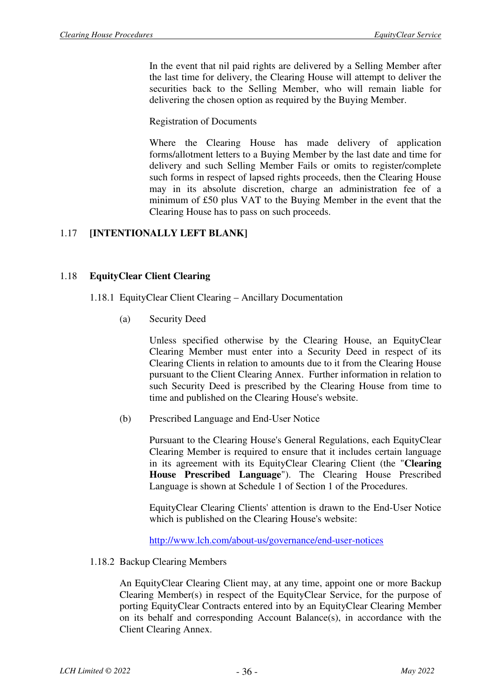In the event that nil paid rights are delivered by a Selling Member after the last time for delivery, the Clearing House will attempt to deliver the securities back to the Selling Member, who will remain liable for delivering the chosen option as required by the Buying Member.

Registration of Documents

Where the Clearing House has made delivery of application forms/allotment letters to a Buying Member by the last date and time for delivery and such Selling Member Fails or omits to register/complete such forms in respect of lapsed rights proceeds, then the Clearing House may in its absolute discretion, charge an administration fee of a minimum of £50 plus VAT to the Buying Member in the event that the Clearing House has to pass on such proceeds.

#### 1.17 **[INTENTIONALLY LEFT BLANK]**

#### 1.18 **EquityClear Client Clearing**

#### 1.18.1 EquityClear Client Clearing – Ancillary Documentation

(a) Security Deed

Unless specified otherwise by the Clearing House, an EquityClear Clearing Member must enter into a Security Deed in respect of its Clearing Clients in relation to amounts due to it from the Clearing House pursuant to the Client Clearing Annex. Further information in relation to such Security Deed is prescribed by the Clearing House from time to time and published on the Clearing House's website.

(b) Prescribed Language and End-User Notice

Pursuant to the Clearing House's General Regulations, each EquityClear Clearing Member is required to ensure that it includes certain language in its agreement with its EquityClear Clearing Client (the "**Clearing House Prescribed Language**"). The Clearing House Prescribed Language is shown at Schedule 1 of Section 1 of the Procedures.

EquityClear Clearing Clients' attention is drawn to the End-User Notice which is published on the Clearing House's website:

http://www.lch.com/about-us/governance/end-user-notices

1.18.2 Backup Clearing Members

An EquityClear Clearing Client may, at any time, appoint one or more Backup Clearing Member(s) in respect of the EquityClear Service, for the purpose of porting EquityClear Contracts entered into by an EquityClear Clearing Member on its behalf and corresponding Account Balance(s), in accordance with the Client Clearing Annex.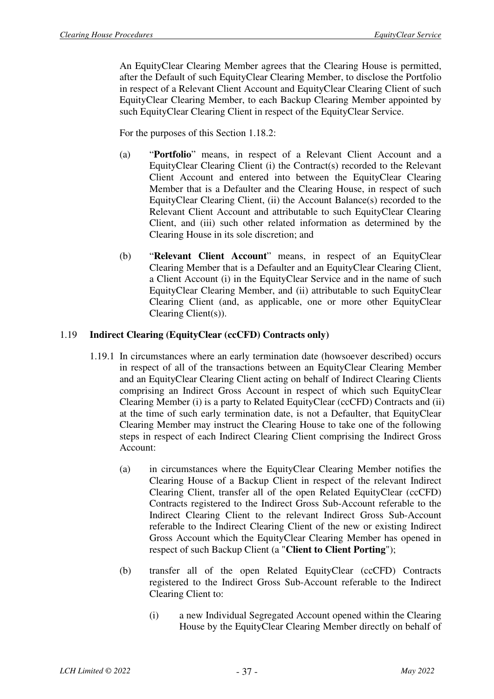An EquityClear Clearing Member agrees that the Clearing House is permitted, after the Default of such EquityClear Clearing Member, to disclose the Portfolio in respect of a Relevant Client Account and EquityClear Clearing Client of such EquityClear Clearing Member, to each Backup Clearing Member appointed by such EquityClear Clearing Client in respect of the EquityClear Service.

For the purposes of this Section 1.18.2:

- (a) "**Portfolio**" means, in respect of a Relevant Client Account and a EquityClear Clearing Client (i) the Contract(s) recorded to the Relevant Client Account and entered into between the EquityClear Clearing Member that is a Defaulter and the Clearing House, in respect of such EquityClear Clearing Client, (ii) the Account Balance(s) recorded to the Relevant Client Account and attributable to such EquityClear Clearing Client, and (iii) such other related information as determined by the Clearing House in its sole discretion; and
- (b) "**Relevant Client Account**" means, in respect of an EquityClear Clearing Member that is a Defaulter and an EquityClear Clearing Client, a Client Account (i) in the EquityClear Service and in the name of such EquityClear Clearing Member, and (ii) attributable to such EquityClear Clearing Client (and, as applicable, one or more other EquityClear Clearing Client(s)).

#### 1.19 **Indirect Clearing (EquityClear (ccCFD) Contracts only)**

- 1.19.1 In circumstances where an early termination date (howsoever described) occurs in respect of all of the transactions between an EquityClear Clearing Member and an EquityClear Clearing Client acting on behalf of Indirect Clearing Clients comprising an Indirect Gross Account in respect of which such EquityClear Clearing Member (i) is a party to Related EquityClear (ccCFD) Contracts and (ii) at the time of such early termination date, is not a Defaulter, that EquityClear Clearing Member may instruct the Clearing House to take one of the following steps in respect of each Indirect Clearing Client comprising the Indirect Gross Account:
	- (a) in circumstances where the EquityClear Clearing Member notifies the Clearing House of a Backup Client in respect of the relevant Indirect Clearing Client, transfer all of the open Related EquityClear (ccCFD) Contracts registered to the Indirect Gross Sub-Account referable to the Indirect Clearing Client to the relevant Indirect Gross Sub-Account referable to the Indirect Clearing Client of the new or existing Indirect Gross Account which the EquityClear Clearing Member has opened in respect of such Backup Client (a "**Client to Client Porting**");
	- (b) transfer all of the open Related EquityClear (ccCFD) Contracts registered to the Indirect Gross Sub-Account referable to the Indirect Clearing Client to:
		- (i) a new Individual Segregated Account opened within the Clearing House by the EquityClear Clearing Member directly on behalf of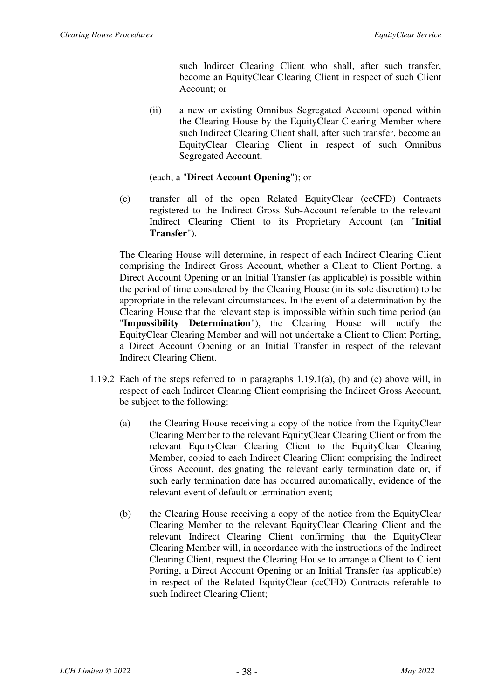such Indirect Clearing Client who shall, after such transfer, become an EquityClear Clearing Client in respect of such Client Account; or

(ii) a new or existing Omnibus Segregated Account opened within the Clearing House by the EquityClear Clearing Member where such Indirect Clearing Client shall, after such transfer, become an EquityClear Clearing Client in respect of such Omnibus Segregated Account,

#### (each, a "**Direct Account Opening**"); or

(c) transfer all of the open Related EquityClear (ccCFD) Contracts registered to the Indirect Gross Sub-Account referable to the relevant Indirect Clearing Client to its Proprietary Account (an "**Initial Transfer**").

The Clearing House will determine, in respect of each Indirect Clearing Client comprising the Indirect Gross Account, whether a Client to Client Porting, a Direct Account Opening or an Initial Transfer (as applicable) is possible within the period of time considered by the Clearing House (in its sole discretion) to be appropriate in the relevant circumstances. In the event of a determination by the Clearing House that the relevant step is impossible within such time period (an "**Impossibility Determination**"), the Clearing House will notify the EquityClear Clearing Member and will not undertake a Client to Client Porting, a Direct Account Opening or an Initial Transfer in respect of the relevant Indirect Clearing Client.

- 1.19.2 Each of the steps referred to in paragraphs 1.19.1(a), (b) and (c) above will, in respect of each Indirect Clearing Client comprising the Indirect Gross Account, be subject to the following:
	- (a) the Clearing House receiving a copy of the notice from the EquityClear Clearing Member to the relevant EquityClear Clearing Client or from the relevant EquityClear Clearing Client to the EquityClear Clearing Member, copied to each Indirect Clearing Client comprising the Indirect Gross Account, designating the relevant early termination date or, if such early termination date has occurred automatically, evidence of the relevant event of default or termination event;
	- (b) the Clearing House receiving a copy of the notice from the EquityClear Clearing Member to the relevant EquityClear Clearing Client and the relevant Indirect Clearing Client confirming that the EquityClear Clearing Member will, in accordance with the instructions of the Indirect Clearing Client, request the Clearing House to arrange a Client to Client Porting, a Direct Account Opening or an Initial Transfer (as applicable) in respect of the Related EquityClear (ccCFD) Contracts referable to such Indirect Clearing Client;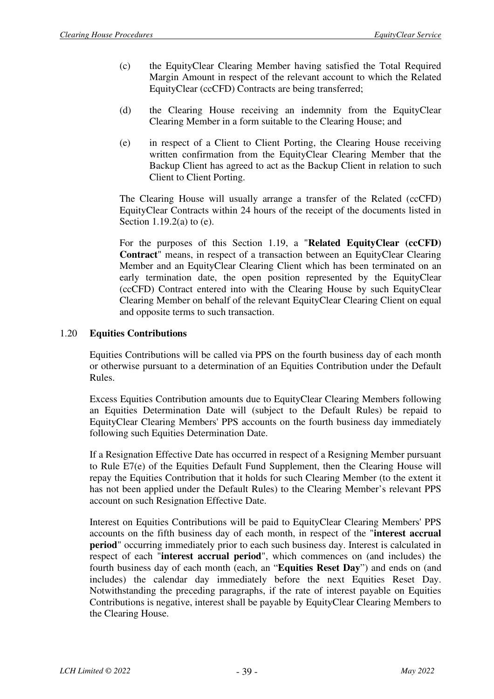- (c) the EquityClear Clearing Member having satisfied the Total Required Margin Amount in respect of the relevant account to which the Related EquityClear (ccCFD) Contracts are being transferred;
- (d) the Clearing House receiving an indemnity from the EquityClear Clearing Member in a form suitable to the Clearing House; and
- (e) in respect of a Client to Client Porting, the Clearing House receiving written confirmation from the EquityClear Clearing Member that the Backup Client has agreed to act as the Backup Client in relation to such Client to Client Porting.

The Clearing House will usually arrange a transfer of the Related (ccCFD) EquityClear Contracts within 24 hours of the receipt of the documents listed in Section 1.19.2(a) to (e).

For the purposes of this Section 1.19, a "**Related EquityClear (ccCFD) Contract**" means, in respect of a transaction between an EquityClear Clearing Member and an EquityClear Clearing Client which has been terminated on an early termination date, the open position represented by the EquityClear (ccCFD) Contract entered into with the Clearing House by such EquityClear Clearing Member on behalf of the relevant EquityClear Clearing Client on equal and opposite terms to such transaction.

#### 1.20 **Equities Contributions**

Equities Contributions will be called via PPS on the fourth business day of each month or otherwise pursuant to a determination of an Equities Contribution under the Default Rules.

Excess Equities Contribution amounts due to EquityClear Clearing Members following an Equities Determination Date will (subject to the Default Rules) be repaid to EquityClear Clearing Members' PPS accounts on the fourth business day immediately following such Equities Determination Date.

If a Resignation Effective Date has occurred in respect of a Resigning Member pursuant to Rule E7(e) of the Equities Default Fund Supplement, then the Clearing House will repay the Equities Contribution that it holds for such Clearing Member (to the extent it has not been applied under the Default Rules) to the Clearing Member's relevant PPS account on such Resignation Effective Date.

Interest on Equities Contributions will be paid to EquityClear Clearing Members' PPS accounts on the fifth business day of each month, in respect of the "**interest accrual period**" occurring immediately prior to each such business day. Interest is calculated in respect of each "**interest accrual period**", which commences on (and includes) the fourth business day of each month (each, an "**Equities Reset Day**") and ends on (and includes) the calendar day immediately before the next Equities Reset Day. Notwithstanding the preceding paragraphs, if the rate of interest payable on Equities Contributions is negative, interest shall be payable by EquityClear Clearing Members to the Clearing House.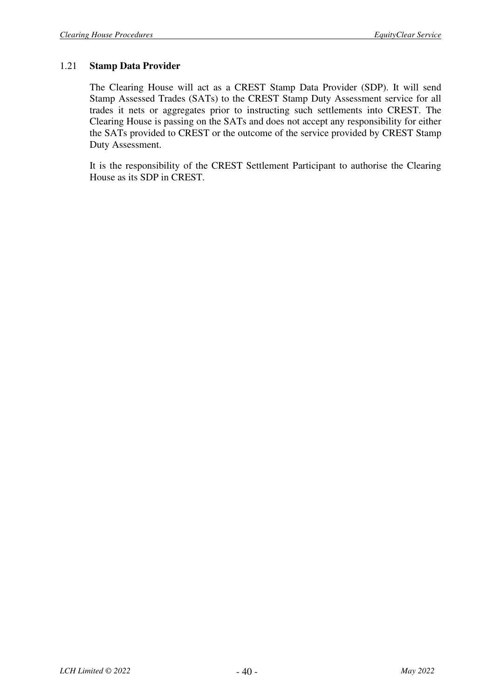#### 1.21 **Stamp Data Provider**

The Clearing House will act as a CREST Stamp Data Provider (SDP). It will send Stamp Assessed Trades (SATs) to the CREST Stamp Duty Assessment service for all trades it nets or aggregates prior to instructing such settlements into CREST. The Clearing House is passing on the SATs and does not accept any responsibility for either the SATs provided to CREST or the outcome of the service provided by CREST Stamp Duty Assessment.

It is the responsibility of the CREST Settlement Participant to authorise the Clearing House as its SDP in CREST.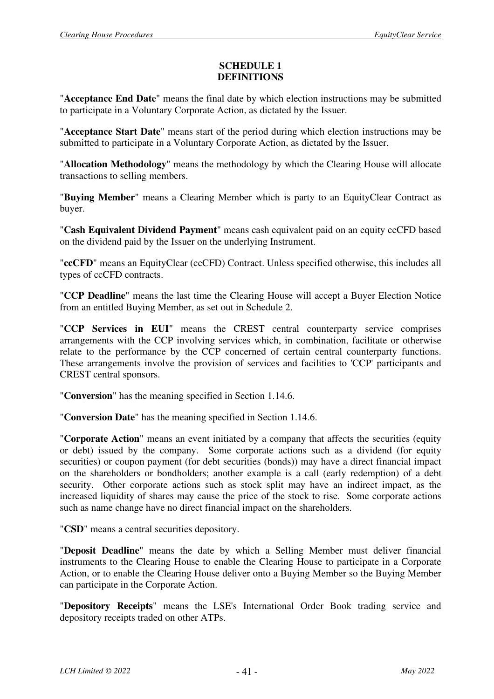#### **SCHEDULE 1 DEFINITIONS**

"**Acceptance End Date**" means the final date by which election instructions may be submitted to participate in a Voluntary Corporate Action, as dictated by the Issuer.

"**Acceptance Start Date**" means start of the period during which election instructions may be submitted to participate in a Voluntary Corporate Action, as dictated by the Issuer.

"**Allocation Methodology**" means the methodology by which the Clearing House will allocate transactions to selling members.

"**Buying Member**" means a Clearing Member which is party to an EquityClear Contract as buyer.

"**Cash Equivalent Dividend Payment**" means cash equivalent paid on an equity ccCFD based on the dividend paid by the Issuer on the underlying Instrument.

"**ccCFD**" means an EquityClear (ccCFD) Contract. Unless specified otherwise, this includes all types of ccCFD contracts.

"**CCP Deadline**" means the last time the Clearing House will accept a Buyer Election Notice from an entitled Buying Member, as set out in Schedule 2.

"**CCP Services in EUI**" means the CREST central counterparty service comprises arrangements with the CCP involving services which, in combination, facilitate or otherwise relate to the performance by the CCP concerned of certain central counterparty functions. These arrangements involve the provision of services and facilities to 'CCP' participants and CREST central sponsors.

"**Conversion**" has the meaning specified in Section 1.14.6.

"**Conversion Date**" has the meaning specified in Section 1.14.6.

"**Corporate Action**" means an event initiated by a company that affects the securities (equity or debt) issued by the company. Some corporate actions such as a dividend (for equity securities) or coupon payment (for debt securities (bonds)) may have a direct financial impact on the shareholders or bondholders; another example is a call (early redemption) of a debt security. Other corporate actions such as stock split may have an indirect impact, as the increased liquidity of shares may cause the price of the stock to rise. Some corporate actions such as name change have no direct financial impact on the shareholders.

"**CSD**" means a central securities depository.

"**Deposit Deadline**" means the date by which a Selling Member must deliver financial instruments to the Clearing House to enable the Clearing House to participate in a Corporate Action, or to enable the Clearing House deliver onto a Buying Member so the Buying Member can participate in the Corporate Action.

"**Depository Receipts**" means the LSE's International Order Book trading service and depository receipts traded on other ATPs.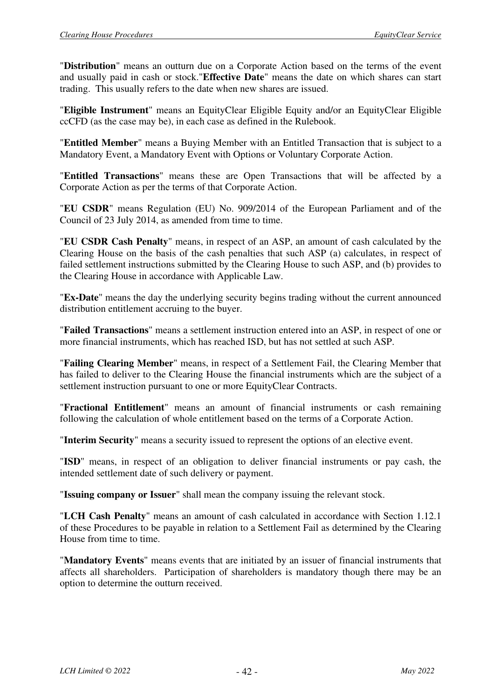"**Distribution**" means an outturn due on a Corporate Action based on the terms of the event and usually paid in cash or stock."**Effective Date**" means the date on which shares can start trading. This usually refers to the date when new shares are issued.

"**Eligible Instrument**" means an EquityClear Eligible Equity and/or an EquityClear Eligible ccCFD (as the case may be), in each case as defined in the Rulebook.

"**Entitled Member**" means a Buying Member with an Entitled Transaction that is subject to a Mandatory Event, a Mandatory Event with Options or Voluntary Corporate Action.

"**Entitled Transactions**" means these are Open Transactions that will be affected by a Corporate Action as per the terms of that Corporate Action.

"**EU CSDR**" means Regulation (EU) No. 909/2014 of the European Parliament and of the Council of 23 July 2014, as amended from time to time.

"**EU CSDR Cash Penalty**" means, in respect of an ASP, an amount of cash calculated by the Clearing House on the basis of the cash penalties that such ASP (a) calculates, in respect of failed settlement instructions submitted by the Clearing House to such ASP, and (b) provides to the Clearing House in accordance with Applicable Law.

"**Ex-Date**" means the day the underlying security begins trading without the current announced distribution entitlement accruing to the buyer.

"**Failed Transactions**" means a settlement instruction entered into an ASP, in respect of one or more financial instruments, which has reached ISD, but has not settled at such ASP.

"**Failing Clearing Member**" means, in respect of a Settlement Fail, the Clearing Member that has failed to deliver to the Clearing House the financial instruments which are the subject of a settlement instruction pursuant to one or more EquityClear Contracts.

"**Fractional Entitlement**" means an amount of financial instruments or cash remaining following the calculation of whole entitlement based on the terms of a Corporate Action.

"**Interim Security**" means a security issued to represent the options of an elective event.

"**ISD**" means, in respect of an obligation to deliver financial instruments or pay cash, the intended settlement date of such delivery or payment.

"**Issuing company or Issuer**" shall mean the company issuing the relevant stock.

"**LCH Cash Penalty**" means an amount of cash calculated in accordance with Section 1.12.1 of these Procedures to be payable in relation to a Settlement Fail as determined by the Clearing House from time to time.

"**Mandatory Events**" means events that are initiated by an issuer of financial instruments that affects all shareholders. Participation of shareholders is mandatory though there may be an option to determine the outturn received.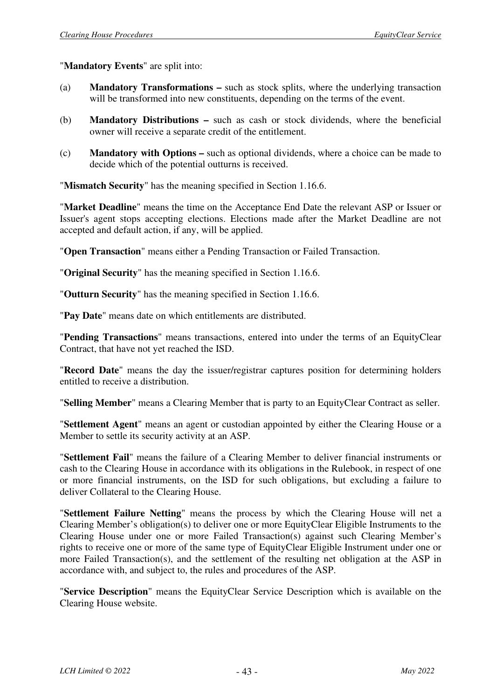"**Mandatory Events**" are split into:

- (a) **Mandatory Transformations –** such as stock splits, where the underlying transaction will be transformed into new constituents, depending on the terms of the event.
- (b) **Mandatory Distributions –** such as cash or stock dividends, where the beneficial owner will receive a separate credit of the entitlement.
- (c) **Mandatory with Options –** such as optional dividends, where a choice can be made to decide which of the potential outturns is received.

"**Mismatch Security**" has the meaning specified in Section 1.16.6.

"**Market Deadline**" means the time on the Acceptance End Date the relevant ASP or Issuer or Issuer's agent stops accepting elections. Elections made after the Market Deadline are not accepted and default action, if any, will be applied.

"**Open Transaction**" means either a Pending Transaction or Failed Transaction.

"**Original Security**" has the meaning specified in Section 1.16.6.

"**Outturn Security**" has the meaning specified in Section 1.16.6.

"**Pay Date**" means date on which entitlements are distributed.

"**Pending Transactions**" means transactions, entered into under the terms of an EquityClear Contract, that have not yet reached the ISD.

"**Record Date**" means the day the issuer/registrar captures position for determining holders entitled to receive a distribution.

"**Selling Member**" means a Clearing Member that is party to an EquityClear Contract as seller.

"**Settlement Agent**" means an agent or custodian appointed by either the Clearing House or a Member to settle its security activity at an ASP.

"**Settlement Fail**" means the failure of a Clearing Member to deliver financial instruments or cash to the Clearing House in accordance with its obligations in the Rulebook, in respect of one or more financial instruments, on the ISD for such obligations, but excluding a failure to deliver Collateral to the Clearing House.

"**Settlement Failure Netting**" means the process by which the Clearing House will net a Clearing Member's obligation(s) to deliver one or more EquityClear Eligible Instruments to the Clearing House under one or more Failed Transaction(s) against such Clearing Member's rights to receive one or more of the same type of EquityClear Eligible Instrument under one or more Failed Transaction(s), and the settlement of the resulting net obligation at the ASP in accordance with, and subject to, the rules and procedures of the ASP.

"**Service Description**" means the EquityClear Service Description which is available on the Clearing House website.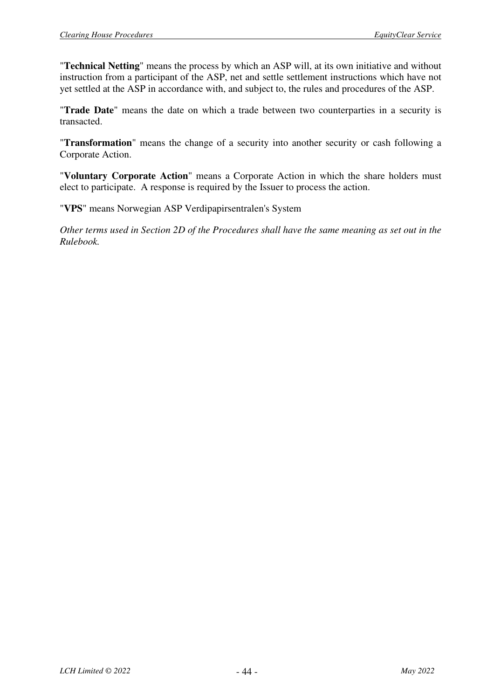"**Technical Netting**" means the process by which an ASP will, at its own initiative and without instruction from a participant of the ASP, net and settle settlement instructions which have not yet settled at the ASP in accordance with, and subject to, the rules and procedures of the ASP.

"**Trade Date**" means the date on which a trade between two counterparties in a security is transacted.

"**Transformation**" means the change of a security into another security or cash following a Corporate Action.

"**Voluntary Corporate Action**" means a Corporate Action in which the share holders must elect to participate. A response is required by the Issuer to process the action.

"**VPS**" means Norwegian ASP Verdipapirsentralen's System

*Other terms used in Section 2D of the Procedures shall have the same meaning as set out in the Rulebook.*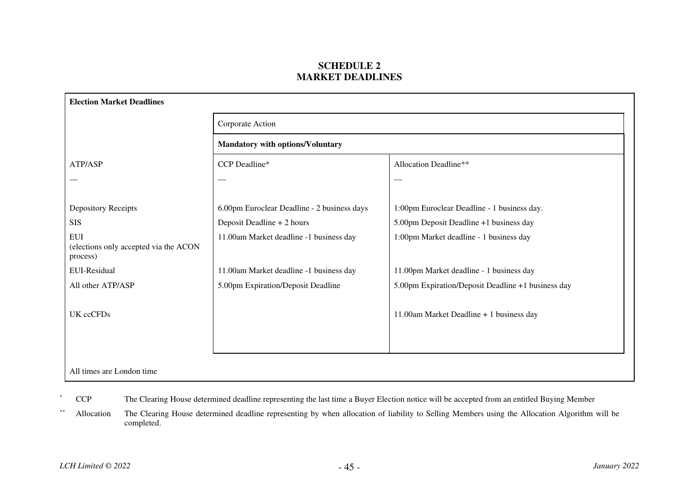#### **SCHEDULE 2 MARKET DEADLINES**

|                                                                 | Corporate Action<br><b>Mandatory with options/Voluntary</b> |                                                    |  |
|-----------------------------------------------------------------|-------------------------------------------------------------|----------------------------------------------------|--|
|                                                                 |                                                             |                                                    |  |
| ATP/ASP                                                         | CCP Deadline*                                               | Allocation Deadline**                              |  |
|                                                                 |                                                             |                                                    |  |
| Depository Receipts                                             | 6.00pm Euroclear Deadline - 2 business days                 | 1:00pm Euroclear Deadline - 1 business day.        |  |
| <b>SIS</b>                                                      | Deposit Deadline + 2 hours                                  | 5.00pm Deposit Deadline +1 business day            |  |
| <b>EUI</b><br>(elections only accepted via the ACON<br>process) | 11.00am Market deadline -1 business day                     | 1:00pm Market deadline - 1 business day            |  |
| EUI-Residual                                                    | 11.00am Market deadline -1 business day                     | 11.00pm Market deadline - 1 business day           |  |
| All other ATP/ASP                                               | 5.00pm Expiration/Deposit Deadline                          | 5.00pm Expiration/Deposit Deadline +1 business day |  |
| UK ccCFDs                                                       |                                                             | 11.00am Market Deadline + 1 business day           |  |
|                                                                 |                                                             |                                                    |  |
|                                                                 |                                                             |                                                    |  |

CCP The Clearing House determined deadline representing the last time a Buyer Election notice will be accepted from an entitled Buying Member

\*\* Allocation The Clearing House determined deadline representing by when allocation of liability to Selling Members using the Allocation Algorithm will be completed.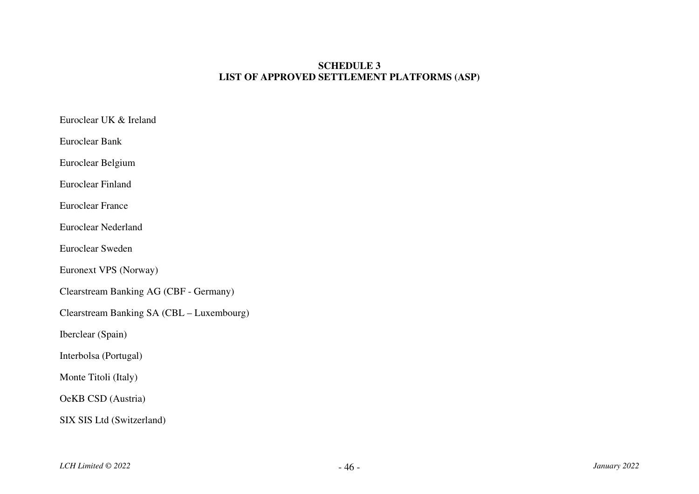#### **SCHEDULE 3 LIST OF APPROVED SETTLEMENT PLATFORMS (ASP)**

| Euroclear UK & Ireland                        |
|-----------------------------------------------|
| Euroclear Bank                                |
| Euroclear Belgium                             |
| Euroclear Finland                             |
| <b>Euroclear France</b>                       |
| <b>Euroclear Nederland</b>                    |
| Euroclear Sweden                              |
| Euronext VPS (Norway)                         |
| <b>Clearstream Banking AG (CBF - Germany)</b> |
| Clearstream Banking SA (CBL - Luxembourg)     |
| Iberclear (Spain)                             |
| Interbolsa (Portugal)                         |
| Monte Titoli (Italy)                          |
| OeKB CSD (Austria)                            |
| SIX SIS Ltd (Switzerland)                     |
|                                               |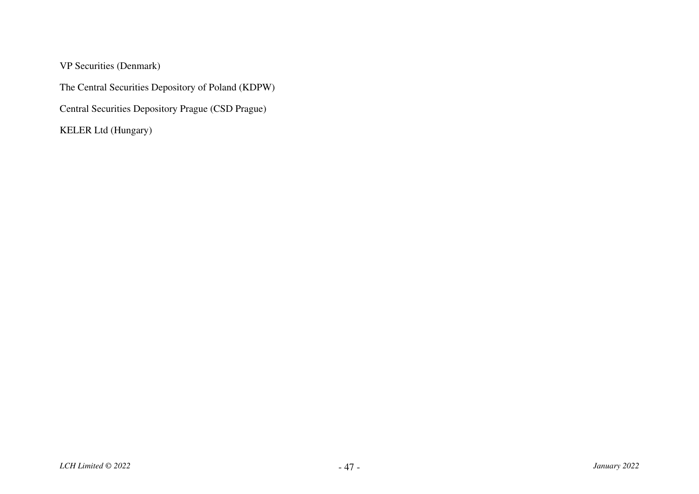VP Securities (Denmark)

The Central Securities Depository of Poland (KDPW)

Central Securities Depository Prague (CSD Prague)

KELER Ltd (Hungary)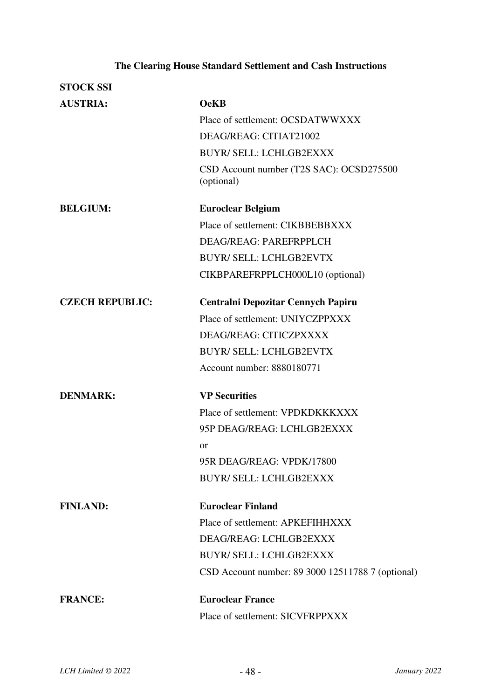# **The Clearing House Standard Settlement and Cash Instructions**

| <b>STOCK SSI</b>       |                                                        |
|------------------------|--------------------------------------------------------|
| <b>AUSTRIA:</b>        | <b>OeKB</b>                                            |
|                        | Place of settlement: OCSDATWWXXX                       |
|                        | DEAG/REAG: CITIAT21002                                 |
|                        | <b>BUYR/ SELL: LCHLGB2EXXX</b>                         |
|                        | CSD Account number (T2S SAC): OCSD275500<br>(optional) |
| <b>BELGIUM:</b>        | <b>Euroclear Belgium</b>                               |
|                        | Place of settlement: CIKBBEBBXXX                       |
|                        | DEAG/REAG: PAREFRPPLCH                                 |
|                        | <b>BUYR/ SELL: LCHLGB2EVTX</b>                         |
|                        | CIKBPAREFRPPLCH000L10 (optional)                       |
| <b>CZECH REPUBLIC:</b> | Centralni Depozitar Cennych Papiru                     |
|                        | Place of settlement: UNIYCZPPXXX                       |
|                        | DEAG/REAG: CITICZPXXXX                                 |
|                        | <b>BUYR/ SELL: LCHLGB2EVTX</b>                         |
|                        | Account number: 8880180771                             |
| <b>DENMARK:</b>        | <b>VP Securities</b>                                   |
|                        | Place of settlement: VPDKDKKKXXX                       |
|                        | 95P DEAG/REAG: LCHLGB2EXXX                             |
|                        | <b>or</b>                                              |
|                        | 95R DEAG/REAG: VPDK/17800                              |
|                        | <b>BUYR/ SELL: LCHLGB2EXXX</b>                         |
| <b>FINLAND:</b>        | <b>Euroclear Finland</b>                               |
|                        | Place of settlement: APKEFIHHXXX                       |
|                        | DEAG/REAG: LCHLGB2EXXX                                 |
|                        | <b>BUYR/ SELL: LCHLGB2EXXX</b>                         |
|                        | CSD Account number: 89 3000 12511788 7 (optional)      |
| <b>FRANCE:</b>         | <b>Euroclear France</b>                                |
|                        | Place of settlement: SICVFRPPXXX                       |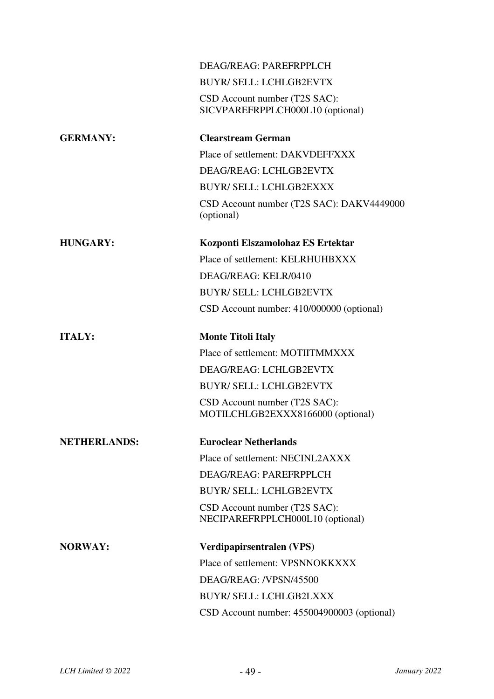|                     | DEAG/REAG: PAREFRPPLCH                                             |
|---------------------|--------------------------------------------------------------------|
|                     | <b>BUYR/ SELL: LCHLGB2EVTX</b>                                     |
|                     | CSD Account number (T2S SAC):<br>SICVPAREFRPPLCH000L10 (optional)  |
| <b>GERMANY:</b>     | <b>Clearstream German</b>                                          |
|                     | Place of settlement: DAKVDEFFXXX                                   |
|                     | DEAG/REAG: LCHLGB2EVTX                                             |
|                     | <b>BUYR/ SELL: LCHLGB2EXXX</b>                                     |
|                     | CSD Account number (T2S SAC): DAKV4449000<br>(optional)            |
| <b>HUNGARY:</b>     | Kozponti Elszamolohaz ES Ertektar                                  |
|                     | Place of settlement: KELRHUHBXXX                                   |
|                     | DEAG/REAG: KELR/0410                                               |
|                     | <b>BUYR/ SELL: LCHLGB2EVTX</b>                                     |
|                     | CSD Account number: 410/000000 (optional)                          |
| <b>ITALY:</b>       | <b>Monte Titoli Italy</b>                                          |
|                     | Place of settlement: MOTIITMMXXX                                   |
|                     | DEAG/REAG: LCHLGB2EVTX                                             |
|                     | <b>BUYR/ SELL: LCHLGB2EVTX</b>                                     |
|                     | CSD Account number (T2S SAC):<br>MOTILCHLGB2EXXX8166000 (optional) |
| <b>NETHERLANDS:</b> | <b>Euroclear Netherlands</b>                                       |
|                     | Place of settlement: NECINL2AXXX                                   |
|                     | DEAG/REAG: PAREFRPPLCH                                             |
|                     | <b>BUYR/ SELL: LCHLGB2EVTX</b>                                     |
|                     | CSD Account number (T2S SAC):<br>NECIPAREFRPPLCH000L10 (optional)  |
| <b>NORWAY:</b>      | Verdipapirsentralen (VPS)                                          |
|                     | Place of settlement: VPSNNOKKXXX                                   |
|                     | DEAG/REAG: /VPSN/45500                                             |
|                     | <b>BUYR/ SELL: LCHLGB2LXXX</b>                                     |
|                     | CSD Account number: 455004900003 (optional)                        |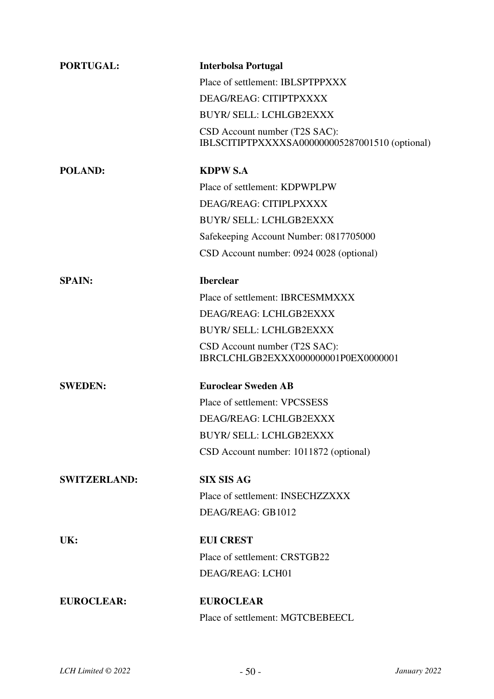| <b>PORTUGAL:</b>    | <b>Interbolsa Portugal</b>                                                      |
|---------------------|---------------------------------------------------------------------------------|
|                     | Place of settlement: IBLSPTPPXXX                                                |
|                     | DEAG/REAG: CITIPTPXXXX                                                          |
|                     | <b>BUYR/ SELL: LCHLGB2EXXX</b>                                                  |
|                     | CSD Account number (T2S SAC):<br>IBLSCITIPTPXXXXSA000000005287001510 (optional) |
| <b>POLAND:</b>      | <b>KDPW S.A</b>                                                                 |
|                     | Place of settlement: KDPWPLPW                                                   |
|                     | DEAG/REAG: CITIPLPXXXX                                                          |
|                     | <b>BUYR/ SELL: LCHLGB2EXXX</b>                                                  |
|                     | Safekeeping Account Number: 0817705000                                          |
|                     | CSD Account number: 0924 0028 (optional)                                        |
| <b>SPAIN:</b>       | <b>Iberclear</b>                                                                |
|                     | Place of settlement: IBRCESMMXXX                                                |
|                     | DEAG/REAG: LCHLGB2EXXX                                                          |
|                     | <b>BUYR/ SELL: LCHLGB2EXXX</b>                                                  |
|                     | CSD Account number (T2S SAC):<br>IBRCLCHLGB2EXXX000000001P0EX0000001            |
| <b>SWEDEN:</b>      | <b>Euroclear Sweden AB</b>                                                      |
|                     | Place of settlement: VPCSSESS                                                   |
|                     | DEAG/REAG: LCHLGB2EXXX                                                          |
|                     | <b>BUYR/ SELL: LCHLGB2EXXX</b>                                                  |
|                     | CSD Account number: 1011872 (optional)                                          |
| <b>SWITZERLAND:</b> | <b>SIX SIS AG</b>                                                               |
|                     | Place of settlement: INSECHZZXXX                                                |
|                     | DEAG/REAG: GB1012                                                               |
| UK:                 | <b>EUI CREST</b>                                                                |
|                     | Place of settlement: CRSTGB22                                                   |
|                     | DEAG/REAG: LCH01                                                                |
| <b>EUROCLEAR:</b>   | <b>EUROCLEAR</b>                                                                |
|                     | Place of settlement: MGTCBEBEECL                                                |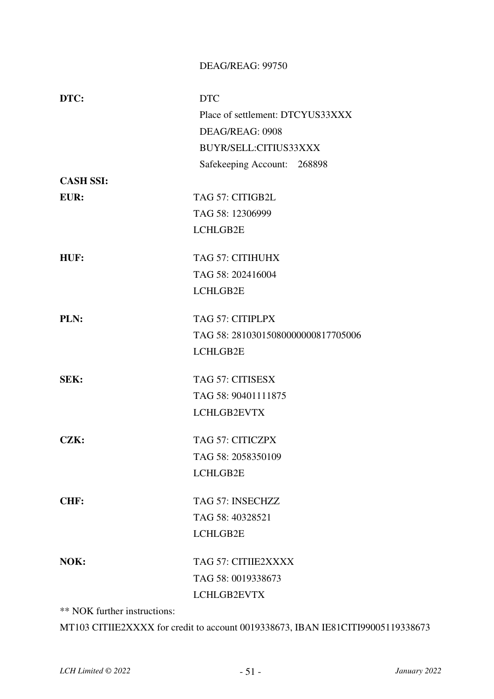#### DEAG/REAG: 99750

| DTC:             | <b>DTC</b>                         |
|------------------|------------------------------------|
|                  | Place of settlement: DTCYUS33XXX   |
|                  | DEAG/REAG: 0908                    |
|                  | BUYR/SELL:CITIUS33XXX              |
|                  | Safekeeping Account: 268898        |
| <b>CASH SSI:</b> |                                    |
| EUR:             | TAG 57: CITIGB2L                   |
|                  | TAG 58: 12306999                   |
|                  | LCHLGB2E                           |
| HUF:             | TAG 57: CITIHUHX                   |
|                  | TAG 58: 202416004                  |
|                  | LCHLGB2E                           |
| PLN:             | TAG 57: CITIPLPX                   |
|                  | TAG 58: 28103015080000000817705006 |
|                  | LCHLGB2E                           |
| SEK:             | TAG 57: CITISESX                   |
|                  | TAG 58: 90401111875                |
|                  | LCHLGB2EVTX                        |
| CZK:             | TAG 57: CITICZPX                   |
|                  | TAG 58: 2058350109                 |
|                  | LCHLGB2E                           |
| CHF:             | TAG 57: INSECHZZ                   |
|                  | TAG 58: 40328521                   |
|                  | LCHLGB2E                           |
| NOK:             | TAG 57: CITIIE2XXXX                |
|                  | TAG 58: 0019338673                 |
|                  | LCHLGB2EVTX                        |

\*\* NOK further instructions:

MT103 CITIIE2XXXX for credit to account 0019338673, IBAN IE81CITI99005119338673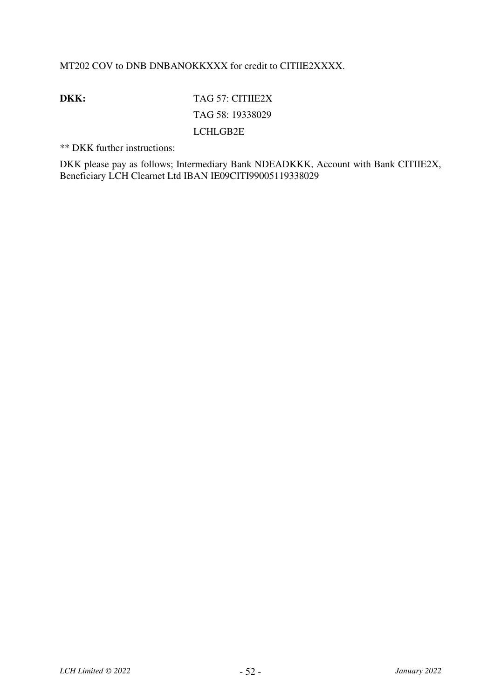#### MT202 COV to DNB DNBANOKKXXX for credit to CITIIE2XXXX.

**DKK:** TAG 57: CITIIE2X TAG 58: 19338029 LCHLGB2E

\*\* DKK further instructions:

DKK please pay as follows; Intermediary Bank NDEADKKK, Account with Bank CITIIE2X, Beneficiary LCH Clearnet Ltd IBAN IE09CITI99005119338029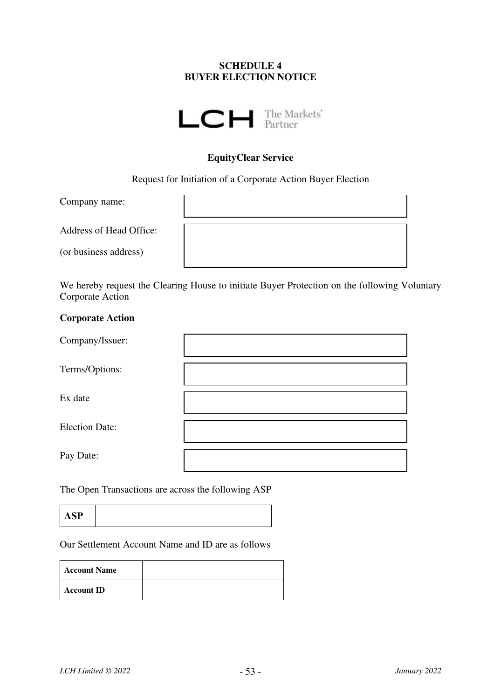#### **SCHEDULE 4 BUYER ELECTION NOTICE**



#### **EquityClear Service**

Request for Initiation of a Corporate Action Buyer Election

Company name:

Address of Head Office:

(or business address)

We hereby request the Clearing House to initiate Buyer Protection on the following Voluntary Corporate Action

#### **Corporate Action**

| Company/Issuer:       |  |
|-----------------------|--|
| Terms/Options:        |  |
| Ex date               |  |
| <b>Election Date:</b> |  |
| Pay Date:             |  |
|                       |  |

The Open Transactions are across the following ASP

**ASP**

Our Settlement Account Name and ID are as follows

| <b>Account Name</b> |  |
|---------------------|--|
| <b>Account ID</b>   |  |